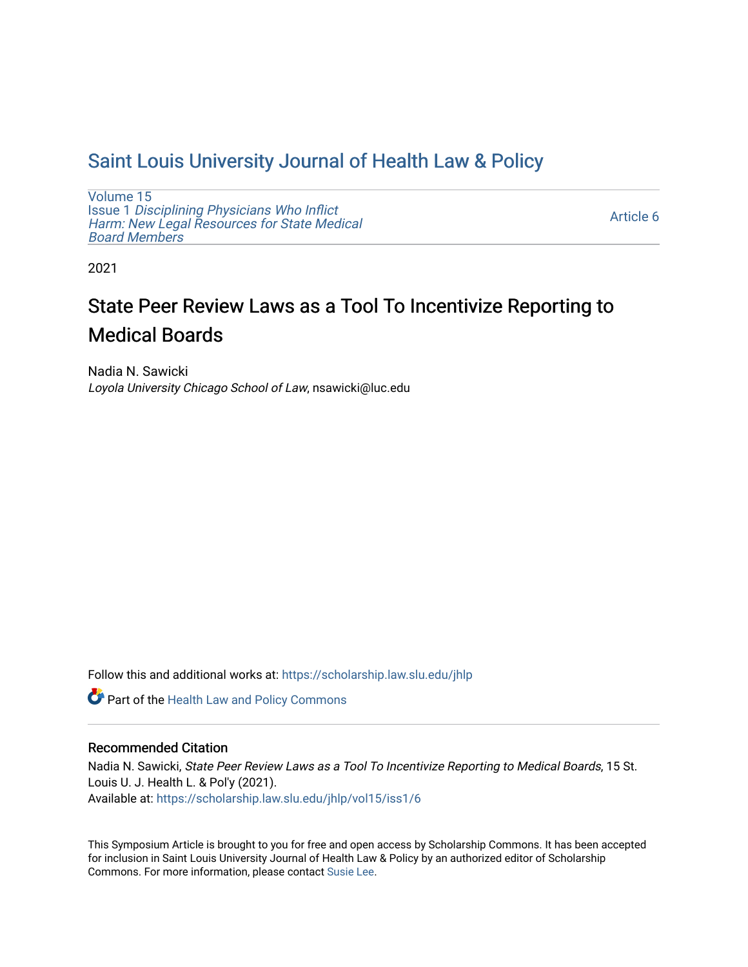## [Saint Louis University Journal of Health Law & Policy](https://scholarship.law.slu.edu/jhlp)

[Volume 15](https://scholarship.law.slu.edu/jhlp/vol15) Issue 1 [Disciplining Physicians Who Inflict](https://scholarship.law.slu.edu/jhlp/vol15/iss1)  [Harm: New Legal Resources for State Medical](https://scholarship.law.slu.edu/jhlp/vol15/iss1) [Board Members](https://scholarship.law.slu.edu/jhlp/vol15/iss1)

[Article 6](https://scholarship.law.slu.edu/jhlp/vol15/iss1/6) 

2021

# State Peer Review Laws as a Tool To Incentivize Reporting to Medical Boards

Nadia N. Sawicki Loyola University Chicago School of Law, nsawicki@luc.edu

Follow this and additional works at: [https://scholarship.law.slu.edu/jhlp](https://scholarship.law.slu.edu/jhlp?utm_source=scholarship.law.slu.edu%2Fjhlp%2Fvol15%2Fiss1%2F6&utm_medium=PDF&utm_campaign=PDFCoverPages)

Part of the [Health Law and Policy Commons](http://network.bepress.com/hgg/discipline/901?utm_source=scholarship.law.slu.edu%2Fjhlp%2Fvol15%2Fiss1%2F6&utm_medium=PDF&utm_campaign=PDFCoverPages) 

## Recommended Citation

Nadia N. Sawicki, State Peer Review Laws as a Tool To Incentivize Reporting to Medical Boards, 15 St. Louis U. J. Health L. & Pol'y (2021). Available at: [https://scholarship.law.slu.edu/jhlp/vol15/iss1/6](https://scholarship.law.slu.edu/jhlp/vol15/iss1/6?utm_source=scholarship.law.slu.edu%2Fjhlp%2Fvol15%2Fiss1%2F6&utm_medium=PDF&utm_campaign=PDFCoverPages) 

This Symposium Article is brought to you for free and open access by Scholarship Commons. It has been accepted for inclusion in Saint Louis University Journal of Health Law & Policy by an authorized editor of Scholarship Commons. For more information, please contact [Susie Lee](mailto:susie.lee@slu.edu).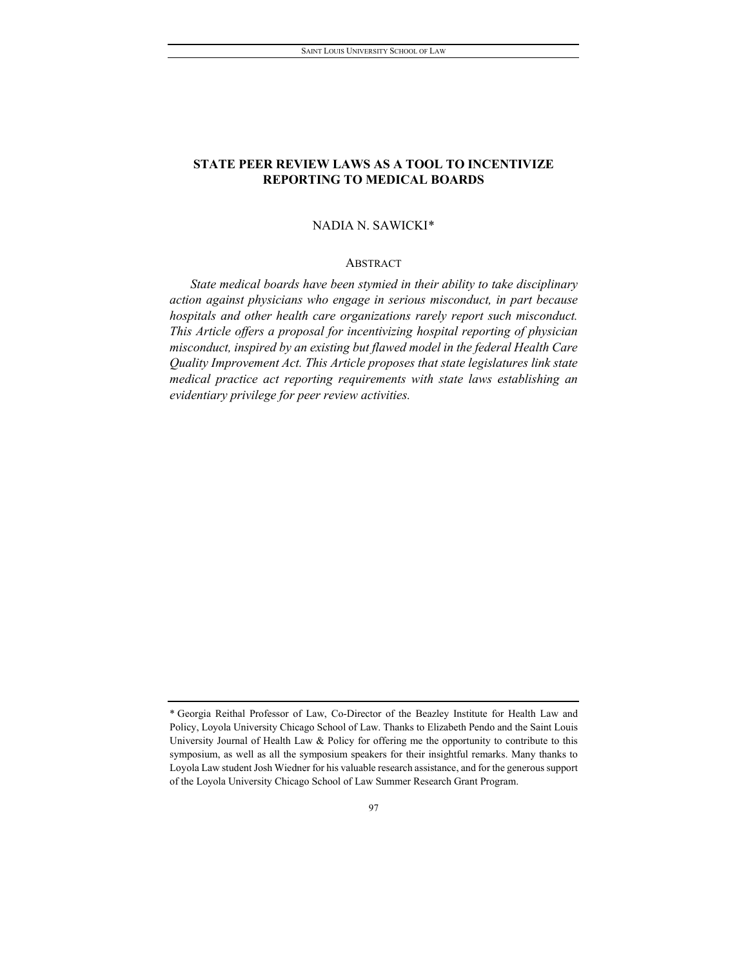## **STATE PEER REVIEW LAWS AS A TOOL TO INCENTIVIZE REPORTING TO MEDICAL BOARDS**

#### NADIA N. SAWICKI[\\*](#page-1-0)

#### ABSTRACT

*State medical boards have been stymied in their ability to take disciplinary action against physicians who engage in serious misconduct, in part because hospitals and other health care organizations rarely report such misconduct. This Article offers a proposal for incentivizing hospital reporting of physician misconduct, inspired by an existing but flawed model in the federal Health Care Quality Improvement Act. This Article proposes that state legislatures link state medical practice act reporting requirements with state laws establishing an evidentiary privilege for peer review activities.*

<span id="page-1-0"></span><sup>\*</sup> Georgia Reithal Professor of Law, Co-Director of the Beazley Institute for Health Law and Policy, Loyola University Chicago School of Law. Thanks to Elizabeth Pendo and the Saint Louis University Journal of Health Law & Policy for offering me the opportunity to contribute to this symposium, as well as all the symposium speakers for their insightful remarks. Many thanks to Loyola Law student Josh Wiedner for his valuable research assistance, and for the generous support of the Loyola University Chicago School of Law Summer Research Grant Program.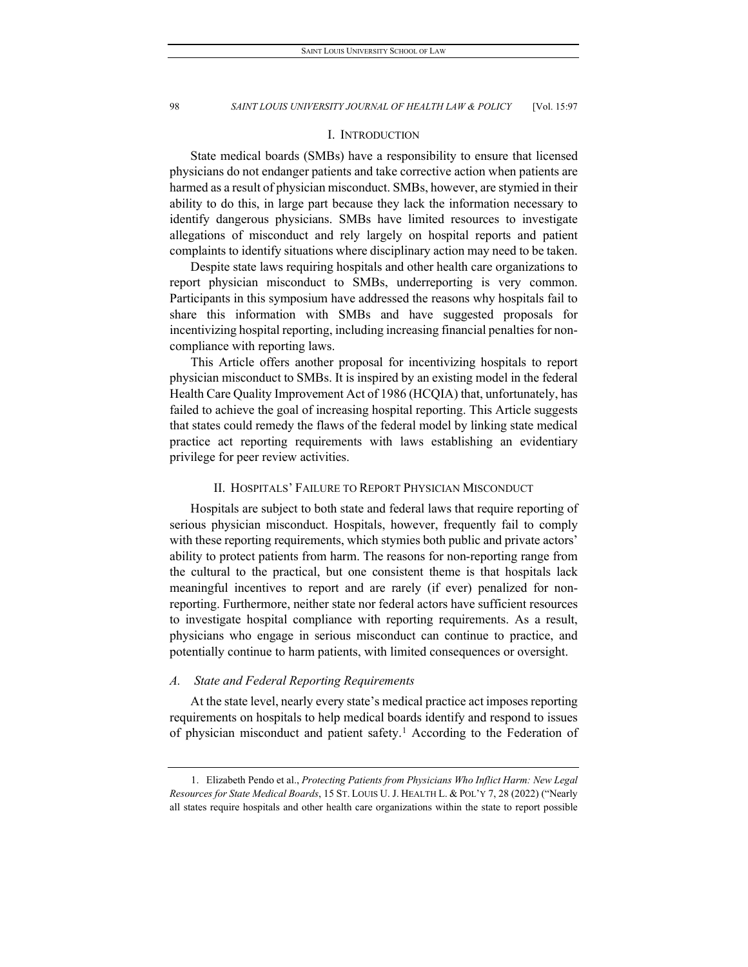#### I. INTRODUCTION

State medical boards (SMBs) have a responsibility to ensure that licensed physicians do not endanger patients and take corrective action when patients are harmed as a result of physician misconduct. SMBs, however, are stymied in their ability to do this, in large part because they lack the information necessary to identify dangerous physicians. SMBs have limited resources to investigate allegations of misconduct and rely largely on hospital reports and patient complaints to identify situations where disciplinary action may need to be taken.

Despite state laws requiring hospitals and other health care organizations to report physician misconduct to SMBs, underreporting is very common. Participants in this symposium have addressed the reasons why hospitals fail to share this information with SMBs and have suggested proposals for incentivizing hospital reporting, including increasing financial penalties for noncompliance with reporting laws.

This Article offers another proposal for incentivizing hospitals to report physician misconduct to SMBs. It is inspired by an existing model in the federal Health Care Quality Improvement Act of 1986 (HCQIA) that, unfortunately, has failed to achieve the goal of increasing hospital reporting. This Article suggests that states could remedy the flaws of the federal model by linking state medical practice act reporting requirements with laws establishing an evidentiary privilege for peer review activities.

#### II. HOSPITALS' FAILURE TO REPORT PHYSICIAN MISCONDUCT

Hospitals are subject to both state and federal laws that require reporting of serious physician misconduct. Hospitals, however, frequently fail to comply with these reporting requirements, which stymies both public and private actors' ability to protect patients from harm. The reasons for non-reporting range from the cultural to the practical, but one consistent theme is that hospitals lack meaningful incentives to report and are rarely (if ever) penalized for nonreporting. Furthermore, neither state nor federal actors have sufficient resources to investigate hospital compliance with reporting requirements. As a result, physicians who engage in serious misconduct can continue to practice, and potentially continue to harm patients, with limited consequences or oversight.

#### *A. State and Federal Reporting Requirements*

At the state level, nearly every state's medical practice act imposes reporting requirements on hospitals to help medical boards identify and respond to issues of physician misconduct and patient safety.<sup>[1](#page-2-0)</sup> According to the Federation of

<span id="page-2-0"></span><sup>1.</sup> Elizabeth Pendo et al., *Protecting Patients from Physicians Who Inflict Harm: New Legal Resources for State Medical Boards*, 15 ST. LOUIS U. J. HEALTH L. & POL'Y 7, 28 (2022) ("Nearly all states require hospitals and other health care organizations within the state to report possible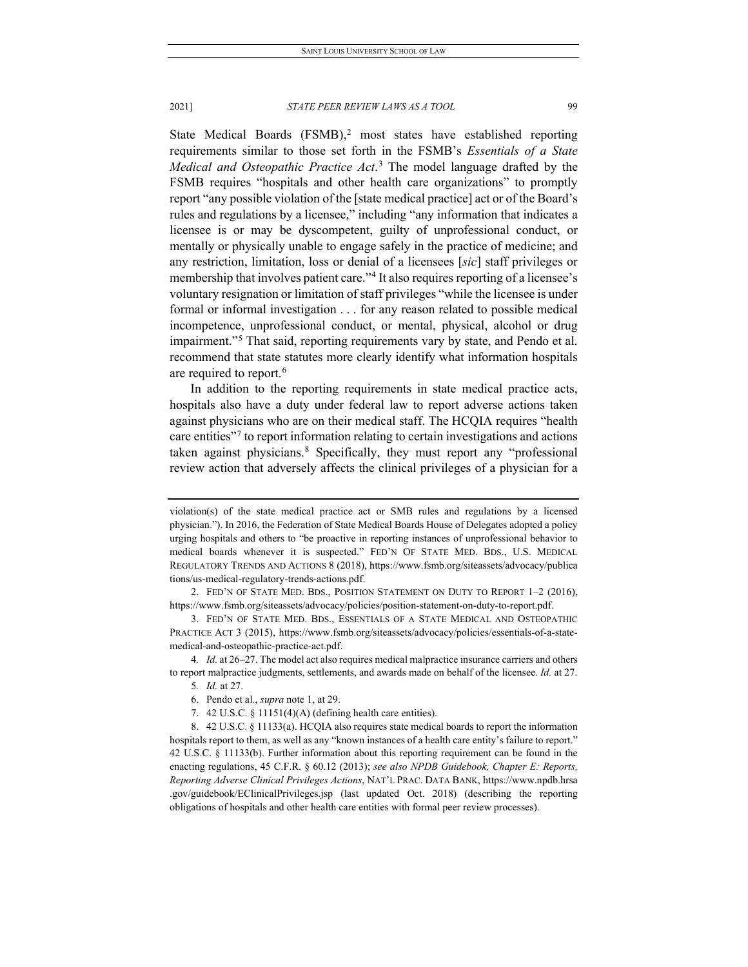State Medical Boards  $(FSMB)^2$  $(FSMB)^2$  most states have established reporting requirements similar to those set forth in the FSMB's *Essentials of a State Medical and Osteopathic Practice Act*. [3](#page-3-1) The model language drafted by the FSMB requires "hospitals and other health care organizations" to promptly report "any possible violation of the [state medical practice] act or of the Board's rules and regulations by a licensee," including "any information that indicates a licensee is or may be dyscompetent, guilty of unprofessional conduct, or mentally or physically unable to engage safely in the practice of medicine; and any restriction, limitation, loss or denial of a licensees [*sic*] staff privileges or membership that involves patient care."<sup>[4](#page-3-2)</sup> It also requires reporting of a licensee's voluntary resignation or limitation of staff privileges "while the licensee is under formal or informal investigation . . . for any reason related to possible medical incompetence, unprofessional conduct, or mental, physical, alcohol or drug impairment."[5](#page-3-3) That said, reporting requirements vary by state, and Pendo et al. recommend that state statutes more clearly identify what information hospitals are required to report.<sup>[6](#page-3-4)</sup>

In addition to the reporting requirements in state medical practice acts, hospitals also have a duty under federal law to report adverse actions taken against physicians who are on their medical staff. The HCQIA requires "health care entities<sup>"[7](#page-3-5)</sup> to report information relating to certain investigations and actions taken against physicians.<sup>[8](#page-3-6)</sup> Specifically, they must report any "professional review action that adversely affects the clinical privileges of a physician for a

<span id="page-3-3"></span><span id="page-3-2"></span>4*. Id.* at 26–27. The model act also requires medical malpractice insurance carriers and others to report malpractice judgments, settlements, and awards made on behalf of the licensee. *Id.* at 27.

7. 42 U.S.C. § 11151(4)(A) (defining health care entities).

violation(s) of the state medical practice act or SMB rules and regulations by a licensed physician."). In 2016, the Federation of State Medical Boards House of Delegates adopted a policy urging hospitals and others to "be proactive in reporting instances of unprofessional behavior to medical boards whenever it is suspected." FED'N OF STATE MED. BDS., U.S. MEDICAL REGULATORY TRENDS AND ACTIONS 8 (2018), https://www.fsmb.org/siteassets/advocacy/publica tions/us-medical-regulatory-trends-actions.pdf.

<span id="page-3-0"></span><sup>2.</sup> FED'N OF STATE MED. BDS., POSITION STATEMENT ON DUTY TO REPORT 1–2 (2016), https://www.fsmb.org/siteassets/advocacy/policies/position-statement-on-duty-to-report.pdf.

<span id="page-3-1"></span><sup>3.</sup> FED'N OF STATE MED. BDS., ESSENTIALS OF A STATE MEDICAL AND OSTEOPATHIC PRACTICE ACT 3 (2015), https://www.fsmb.org/siteassets/advocacy/policies/essentials-of-a-statemedical-and-osteopathic-practice-act.pdf.

<sup>5</sup>*. Id.* at 27.

<sup>6.</sup> Pendo et al., *supra* note 1, at 29.

<span id="page-3-6"></span><span id="page-3-5"></span><span id="page-3-4"></span><sup>8.</sup> 42 U.S.C. § 11133(a). HCQIA also requires state medical boards to report the information hospitals report to them, as well as any "known instances of a health care entity's failure to report." 42 U.S.C. § 11133(b). Further information about this reporting requirement can be found in the enacting regulations, 45 C.F.R. § 60.12 (2013); *see also NPDB Guidebook, Chapter E: Reports, Reporting Adverse Clinical Privileges Actions*, NAT'L PRAC. DATA BANK, https://www.npdb.hrsa .gov/guidebook/EClinicalPrivileges.jsp (last updated Oct. 2018) (describing the reporting obligations of hospitals and other health care entities with formal peer review processes).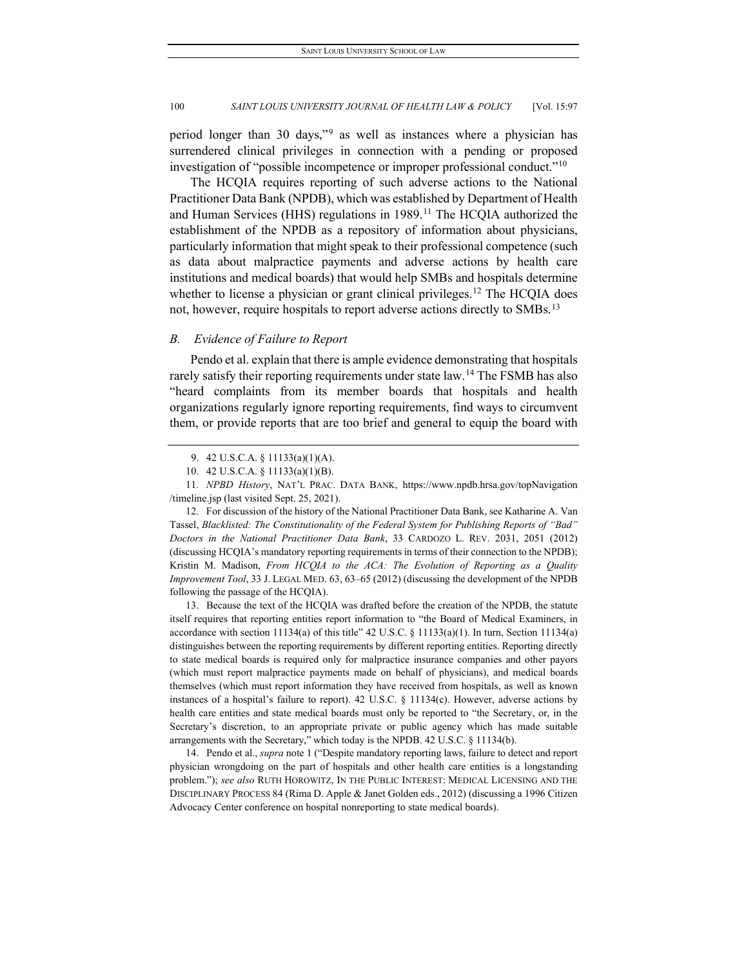period longer than 30 days,"[9](#page-4-0) as well as instances where a physician has surrendered clinical privileges in connection with a pending or proposed investigation of "possible incompetence or improper professional conduct."[10](#page-4-1)

The HCQIA requires reporting of such adverse actions to the National Practitioner Data Bank (NPDB), which was established by Department of Health and Human Services (HHS) regulations in 1989.<sup>[11](#page-4-2)</sup> The HCQIA authorized the establishment of the NPDB as a repository of information about physicians, particularly information that might speak to their professional competence (such as data about malpractice payments and adverse actions by health care institutions and medical boards) that would help SMBs and hospitals determine whether to license a physician or grant clinical privileges.<sup>[12](#page-4-3)</sup> The HCQIA does not, however, require hospitals to report adverse actions directly to SMBs.<sup>[13](#page-4-4)</sup>

## <span id="page-4-6"></span>*B. Evidence of Failure to Report*

Pendo et al. explain that there is ample evidence demonstrating that hospitals rarely satisfy their reporting requirements under state law.<sup>[14](#page-4-5)</sup> The FSMB has also "heard complaints from its member boards that hospitals and health organizations regularly ignore reporting requirements, find ways to circumvent them, or provide reports that are too brief and general to equip the board with

<span id="page-4-3"></span>12. For discussion of the history of the National Practitioner Data Bank, see Katharine A. Van Tassel, *Blacklisted: The Constitutionality of the Federal System for Publishing Reports of "Bad" Doctors in the National Practitioner Data Bank*, 33 CARDOZO L. REV. 2031, 2051 (2012) (discussing HCQIA's mandatory reporting requirements in terms of their connection to the NPDB); Kristin M. Madison, *From HCQIA to the ACA: The Evolution of Reporting as a Quality Improvement Tool*, 33 J. LEGAL MED. 63, 63–65 (2012) (discussing the development of the NPDB following the passage of the HCQIA).

<span id="page-4-4"></span>13. Because the text of the HCQIA was drafted before the creation of the NPDB, the statute itself requires that reporting entities report information to "the Board of Medical Examiners, in accordance with section 11134(a) of this title" 42 U.S.C. § 11133(a)(1). In turn, Section 11134(a) distinguishes between the reporting requirements by different reporting entities. Reporting directly to state medical boards is required only for malpractice insurance companies and other payors (which must report malpractice payments made on behalf of physicians), and medical boards themselves (which must report information they have received from hospitals, as well as known instances of a hospital's failure to report). 42 U.S.C. § 11134(c). However, adverse actions by health care entities and state medical boards must only be reported to "the Secretary, or, in the Secretary's discretion, to an appropriate private or public agency which has made suitable arrangements with the Secretary," which today is the NPDB. 42 U.S.C. § 11134(b).

<span id="page-4-5"></span>14. Pendo et al., *supra* note 1 ("Despite mandatory reporting laws, failure to detect and report physician wrongdoing on the part of hospitals and other health care entities is a longstanding problem."); *see also* RUTH HOROWITZ, IN THE PUBLIC INTEREST: MEDICAL LICENSING AND THE DISCIPLINARY PROCESS 84 (Rima D. Apple & Janet Golden eds., 2012) (discussing a 1996 Citizen Advocacy Center conference on hospital nonreporting to state medical boards).

<sup>9.</sup> 42 U.S.C.A. § 11133(a)(1)(A).

<sup>10.</sup> 42 U.S.C.A. § 11133(a)(1)(B).

<span id="page-4-2"></span><span id="page-4-1"></span><span id="page-4-0"></span><sup>11</sup>*. NPBD History*, NAT'L PRAC. DATA BANK, https://www.npdb.hrsa.gov/topNavigation /timeline.jsp (last visited Sept. 25, 2021).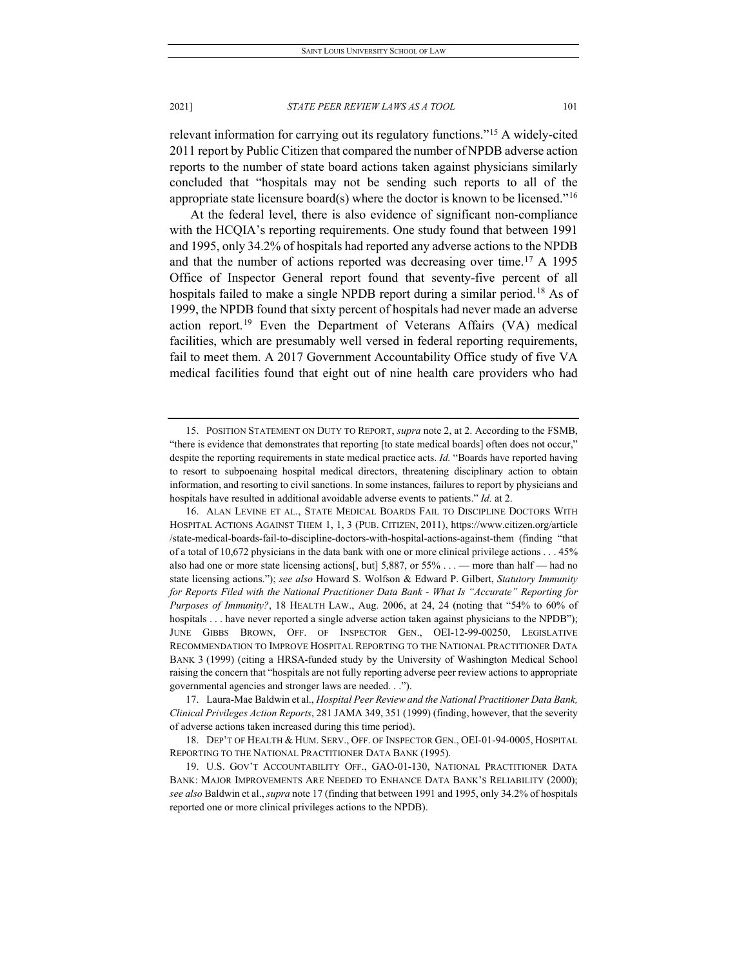relevant information for carrying out its regulatory functions."[15](#page-5-0) A widely-cited 2011 report by Public Citizen that compared the number of NPDB adverse action reports to the number of state board actions taken against physicians similarly concluded that "hospitals may not be sending such reports to all of the appropriate state licensure board(s) where the doctor is known to be licensed."<sup>[16](#page-5-1)</sup>

<span id="page-5-7"></span><span id="page-5-6"></span><span id="page-5-5"></span>At the federal level, there is also evidence of significant non-compliance with the HCQIA's reporting requirements. One study found that between 1991 and 1995, only 34.2% of hospitals had reported any adverse actions to the NPDB and that the number of actions reported was decreasing over time.<sup>17</sup> A 1995 Office of Inspector General report found that seventy-five percent of all hospitals failed to make a single NPDB report during a similar period.<sup>[18](#page-5-3)</sup> As of 1999, the NPDB found that sixty percent of hospitals had never made an adverse action report.[19](#page-5-4) Even the Department of Veterans Affairs (VA) medical facilities, which are presumably well versed in federal reporting requirements, fail to meet them. A 2017 Government Accountability Office study of five VA medical facilities found that eight out of nine health care providers who had

<span id="page-5-2"></span>17. Laura-Mae Baldwin et al., *Hospital Peer Review and the National Practitioner Data Bank, Clinical Privileges Action Reports*, 281 JAMA 349, 351 (1999) (finding, however, that the severity of adverse actions taken increased during this time period).

<span id="page-5-3"></span>18. DEP'T OF HEALTH & HUM. SERV., OFF. OF INSPECTOR GEN., OEI-01-94-0005, HOSPITAL REPORTING TO THE NATIONAL PRACTITIONER DATA BANK (1995).

<span id="page-5-4"></span>19. U.S. GOV'T ACCOUNTABILITY OFF., GAO-01-130, NATIONAL PRACTITIONER DATA BANK: MAJOR IMPROVEMENTS ARE NEEDED TO ENHANCE DATA BANK'S RELIABILITY (2000); *see also* Baldwin et al., *supra* note 17 (finding that between 1991 and 1995, only 34.2% of hospitals reported one or more clinical privileges actions to the NPDB).

<span id="page-5-0"></span><sup>15.</sup> POSITION STATEMENT ON DUTY TO REPORT, *supra* note 2, at 2. According to the FSMB, "there is evidence that demonstrates that reporting [to state medical boards] often does not occur," despite the reporting requirements in state medical practice acts. *Id.* "Boards have reported having to resort to subpoenaing hospital medical directors, threatening disciplinary action to obtain information, and resorting to civil sanctions. In some instances, failures to report by physicians and hospitals have resulted in additional avoidable adverse events to patients." *Id.* at 2.

<span id="page-5-1"></span><sup>16.</sup> ALAN LEVINE ET AL., STATE MEDICAL BOARDS FAIL TO DISCIPLINE DOCTORS WITH HOSPITAL ACTIONS AGAINST THEM 1, 1, 3 (PUB. CITIZEN, 2011), https://www.citizen.org/article /state-medical-boards-fail-to-discipline-doctors-with-hospital-actions-against-them (finding "that of a total of 10,672 physicians in the data bank with one or more clinical privilege actions . . . 45% also had one or more state licensing actions[, but]  $5,887$ , or  $55\%$  ... — more than half — had no state licensing actions."); *see also* Howard S. Wolfson & Edward P. Gilbert, *Statutory Immunity for Reports Filed with the National Practitioner Data Bank - What Is "Accurate" Reporting for Purposes of Immunity?*, 18 HEALTH LAW., Aug. 2006, at 24, 24 (noting that "54% to 60% of hospitals . . . have never reported a single adverse action taken against physicians to the NPDB"); JUNE GIBBS BROWN, OFF. OF INSPECTOR GEN., OEI-12-99-00250, LEGISLATIVE RECOMMENDATION TO IMPROVE HOSPITAL REPORTING TO THE NATIONAL PRACTITIONER DATA BANK 3 (1999) (citing a HRSA-funded study by the University of Washington Medical School raising the concern that "hospitals are not fully reporting adverse peer review actions to appropriate governmental agencies and stronger laws are needed. . .").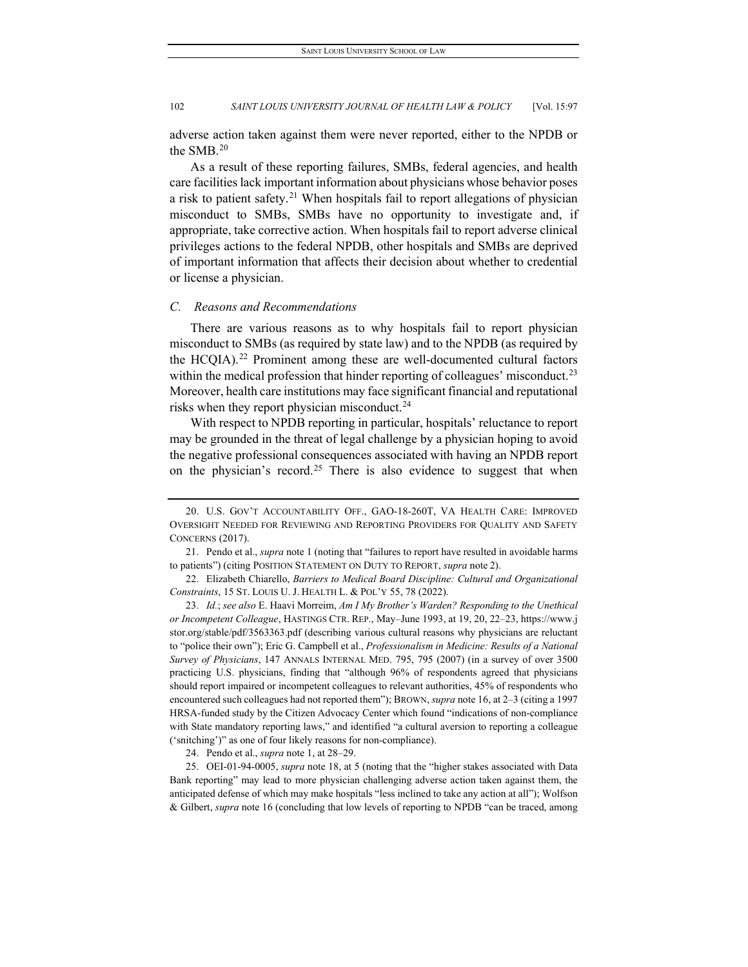adverse action taken against them were never reported, either to the NPDB or the SMB.[20](#page-6-0)

As a result of these reporting failures, SMBs, federal agencies, and health care facilities lack important information about physicians whose behavior poses a risk to patient safety.<sup>[21](#page-6-1)</sup> When hospitals fail to report allegations of physician misconduct to SMBs, SMBs have no opportunity to investigate and, if appropriate, take corrective action. When hospitals fail to report adverse clinical privileges actions to the federal NPDB, other hospitals and SMBs are deprived of important information that affects their decision about whether to credential or license a physician.

#### *C. Reasons and Recommendations*

There are various reasons as to why hospitals fail to report physician misconduct to SMBs (as required by state law) and to the NPDB (as required by the HCQIA).<sup>[22](#page-6-2)</sup> Prominent among these are well-documented cultural factors within the medical profession that hinder reporting of colleagues' misconduct.<sup>[23](#page-6-3)</sup> Moreover, health care institutions may face significant financial and reputational risks when they report physician misconduct.<sup>[24](#page-6-4)</sup>

With respect to NPDB reporting in particular, hospitals' reluctance to report may be grounded in the threat of legal challenge by a physician hoping to avoid the negative professional consequences associated with having an NPDB report on the physician's record.<sup>[25](#page-6-5)</sup> There is also evidence to suggest that when

<span id="page-6-3"></span>23. *Id.*; *see also* E. Haavi Morreim, *Am I My Brother's Warden? Responding to the Unethical or Incompetent Colleague*, HASTINGS CTR. REP., May–June 1993, at 19, 20, 22–23[, https://www.j](https://www.jstor.org/stable/pdf/35633)  [stor.org/stable/pdf/356336](https://www.jstor.org/stable/pdf/35633)3.pdf (describing various cultural reasons why physicians are reluctant to "police their own"); Eric G. Campbell et al., *Professionalism in Medicine: Results of a National Survey of Physicians*, 147 ANNALS INTERNAL MED. 795, 795 (2007) (in a survey of over 3500 practicing U.S. physicians, finding that "although 96% of respondents agreed that physicians should report impaired or incompetent colleagues to relevant authorities, 45% of respondents who encountered such colleagues had not reported them"); BROWN, *supra* not[e 16,](#page-5-5) at 2–3 (citing a 1997 HRSA-funded study by the Citizen Advocacy Center which found "indications of non-compliance with State mandatory reporting laws," and identified "a cultural aversion to reporting a colleague ('snitching')" as one of four likely reasons for non-compliance).

24. Pendo et al., *supra* note 1, at 28–29.

<span id="page-6-5"></span><span id="page-6-4"></span>25. OEI-01-94-0005, *supra* note 18, at 5 (noting that the "higher stakes associated with Data Bank reporting" may lead to more physician challenging adverse action taken against them, the anticipated defense of which may make hospitals "less inclined to take any action at all"); Wolfson & Gilbert, *supra* not[e 16](#page-5-5) (concluding that low levels of reporting to NPDB "can be traced, among

<span id="page-6-0"></span><sup>20.</sup> U.S. GOV'T ACCOUNTABILITY OFF., GAO-18-260T, VA HEALTH CARE: IMPROVED OVERSIGHT NEEDED FOR REVIEWING AND REPORTING PROVIDERS FOR QUALITY AND SAFETY CONCERNS (2017).

<span id="page-6-1"></span><sup>21.</sup> Pendo et al., *supra* note 1 (noting that "failures to report have resulted in avoidable harms to patients") (citing POSITION STATEMENT ON DUTY TO REPORT, *supra* note 2).

<span id="page-6-2"></span><sup>22.</sup> Elizabeth Chiarello, *Barriers to Medical Board Discipline: Cultural and Organizational Constraints*, 15 ST. LOUIS U. J. HEALTH L. & POL'Y 55, 78 (2022).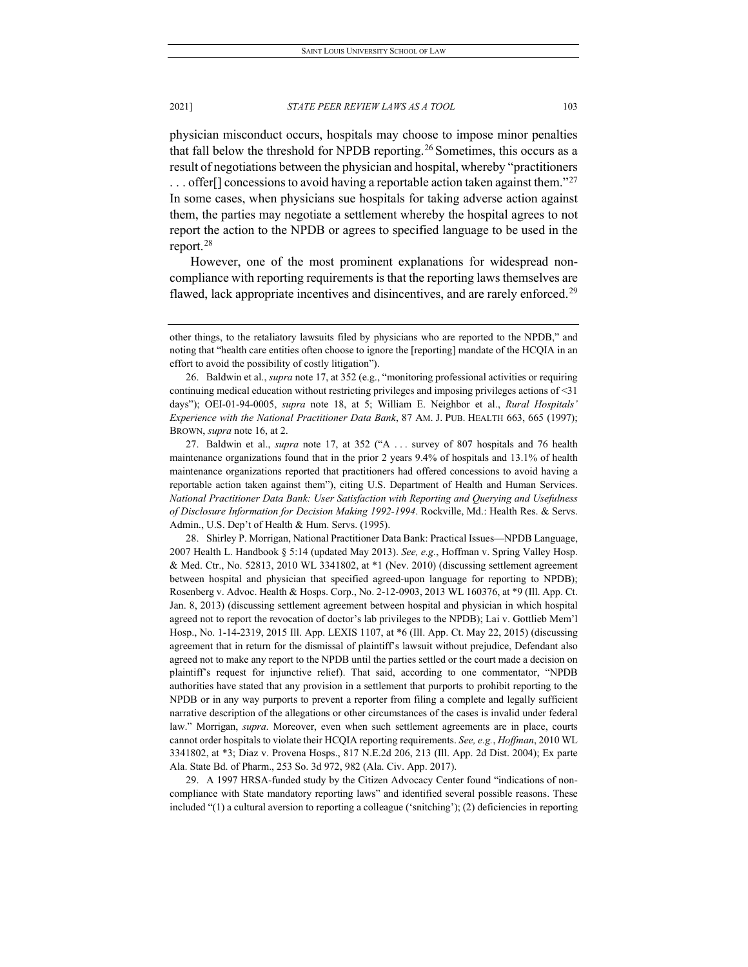physician misconduct occurs, hospitals may choose to impose minor penalties that fall below the threshold for NPDB reporting.<sup>[26](#page-7-0)</sup> Sometimes, this occurs as a result of negotiations between the physician and hospital, whereby "practitioners  $\ldots$  offer  $\lceil$  concessions to avoid having a reportable action taken against them."<sup>[27](#page-7-1)</sup> In some cases, when physicians sue hospitals for taking adverse action against them, the parties may negotiate a settlement whereby the hospital agrees to not report the action to the NPDB or agrees to specified language to be used in the report. $28$ 

However, one of the most prominent explanations for widespread noncompliance with reporting requirements is that the reporting laws themselves are flawed, lack appropriate incentives and disincentives, and are rarely enforced.<sup>[29](#page-7-3)</sup>

<span id="page-7-0"></span>26. Baldwin et al., *supra* not[e 17,](#page-5-6) at 352 (e.g., "monitoring professional activities or requiring continuing medical education without restricting privileges and imposing privileges actions of <31 days"); OEI-01-94-0005, *supra* note [18,](#page-5-7) at 5; William E. Neighbor et al., *Rural Hospitals' Experience with the National Practitioner Data Bank*, 87 AM. J. PUB. HEALTH 663, 665 (1997); BROWN, *supra* not[e 16,](#page-5-5) at 2.

<span id="page-7-1"></span>27. Baldwin et al., *supra* note [17,](#page-5-6) at 352 ("A . . . survey of 807 hospitals and 76 health maintenance organizations found that in the prior 2 years 9.4% of hospitals and 13.1% of health maintenance organizations reported that practitioners had offered concessions to avoid having a reportable action taken against them"), citing U.S. Department of Health and Human Services. *National Practitioner Data Bank: User Satisfaction with Reporting and Querying and Usefulness of Disclosure Information for Decision Making 1992-1994*. Rockville, Md.: Health Res. & Servs. Admin., U.S. Dep't of Health & Hum. Servs. (1995).

<span id="page-7-2"></span>28. Shirley P. Morrigan, National Practitioner Data Bank: Practical Issues—NPDB Language, 2007 Health L. Handbook § 5:14 (updated May 2013). *See, e.g.*, Hoffman v. Spring Valley Hosp. & Med. Ctr., No. 52813, 2010 WL 3341802, at \*1 (Nev. 2010) (discussing settlement agreement between hospital and physician that specified agreed-upon language for reporting to NPDB); Rosenberg v. Advoc. Health & Hosps. Corp., No. 2-12-0903, 2013 WL 160376, at \*9 (Ill. App. Ct. Jan. 8, 2013) (discussing settlement agreement between hospital and physician in which hospital agreed not to report the revocation of doctor's lab privileges to the NPDB); Lai v. Gottlieb Mem'l Hosp., No. 1-14-2319, 2015 Ill. App. LEXIS 1107, at \*6 (Ill. App. Ct. May 22, 2015) (discussing agreement that in return for the dismissal of plaintiff's lawsuit without prejudice, Defendant also agreed not to make any report to the NPDB until the parties settled or the court made a decision on plaintiff's request for injunctive relief). That said, according to one commentator, "NPDB authorities have stated that any provision in a settlement that purports to prohibit reporting to the NPDB or in any way purports to prevent a reporter from filing a complete and legally sufficient narrative description of the allegations or other circumstances of the cases is invalid under federal law." Morrigan, *supra*. Moreover, even when such settlement agreements are in place, courts cannot order hospitals to violate their HCQIA reporting requirements. *See, e.g.*, *Hoffman*, 2010 WL 3341802, at \*3; Diaz v. Provena Hosps., 817 N.E.2d 206, 213 (Ill. App. 2d Dist. 2004); Ex parte Ala. State Bd. of Pharm., 253 So. 3d 972, 982 (Ala. Civ. App. 2017).

<span id="page-7-3"></span>29. A 1997 HRSA-funded study by the Citizen Advocacy Center found "indications of noncompliance with State mandatory reporting laws" and identified several possible reasons. These included "(1) a cultural aversion to reporting a colleague ('snitching'); (2) deficiencies in reporting

other things, to the retaliatory lawsuits filed by physicians who are reported to the NPDB," and noting that "health care entities often choose to ignore the [reporting] mandate of the HCQIA in an effort to avoid the possibility of costly litigation").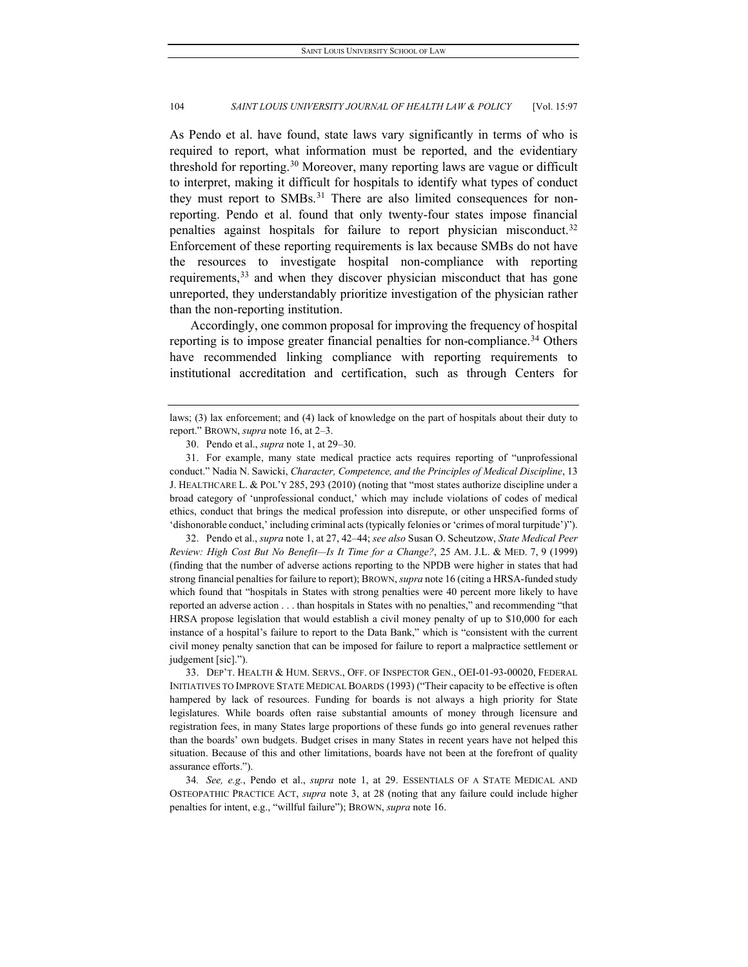<span id="page-8-5"></span>As Pendo et al. have found, state laws vary significantly in terms of who is required to report, what information must be reported, and the evidentiary threshold for reporting.<sup>[30](#page-8-0)</sup> Moreover, many reporting laws are vague or difficult to interpret, making it difficult for hospitals to identify what types of conduct they must report to SMBs. $31$  There are also limited consequences for nonreporting. Pendo et al. found that only twenty-four states impose financial penalties against hospitals for failure to report physician misconduct.[32](#page-8-2) Enforcement of these reporting requirements is lax because SMBs do not have the resources to investigate hospital non-compliance with reporting requirements,<sup>[33](#page-8-3)</sup> and when they discover physician misconduct that has gone unreported, they understandably prioritize investigation of the physician rather than the non-reporting institution.

Accordingly, one common proposal for improving the frequency of hospital reporting is to impose greater financial penalties for non-compliance.<sup>[34](#page-8-4)</sup> Others have recommended linking compliance with reporting requirements to institutional accreditation and certification, such as through Centers for

<span id="page-8-1"></span>31. For example, many state medical practice acts requires reporting of "unprofessional conduct." Nadia N. Sawicki, *Character, Competence, and the Principles of Medical Discipline*, 13 J. HEALTHCARE L. & POL'Y 285, 293 (2010) (noting that "most states authorize discipline under a broad category of 'unprofessional conduct,' which may include violations of codes of medical ethics, conduct that brings the medical profession into disrepute, or other unspecified forms of 'dishonorable conduct,' including criminal acts (typically felonies or 'crimes of moral turpitude')").

<span id="page-8-2"></span>32. Pendo et al., *supra* note 1, at 27, 42–44; *see also* Susan O. Scheutzow, *State Medical Peer Review: High Cost But No Benefit—Is It Time for a Change?*, 25 AM. J.L. & MED. 7, 9 (1999) (finding that the number of adverse actions reporting to the NPDB were higher in states that had strong financial penalties for failure to report); BROWN, *supra* note 16 (citing a HRSA-funded study which found that "hospitals in States with strong penalties were 40 percent more likely to have reported an adverse action . . . than hospitals in States with no penalties," and recommending "that HRSA propose legislation that would establish a civil money penalty of up to \$10,000 for each instance of a hospital's failure to report to the Data Bank," which is "consistent with the current civil money penalty sanction that can be imposed for failure to report a malpractice settlement or judgement [sic].").

<span id="page-8-3"></span>33. DEP'T. HEALTH & HUM. SERVS., OFF. OF INSPECTOR GEN., OEI-01-93-00020, FEDERAL INITIATIVES TO IMPROVE STATE MEDICAL BOARDS (1993) ("Their capacity to be effective is often hampered by lack of resources. Funding for boards is not always a high priority for State legislatures. While boards often raise substantial amounts of money through licensure and registration fees, in many States large proportions of these funds go into general revenues rather than the boards' own budgets. Budget crises in many States in recent years have not helped this situation. Because of this and other limitations, boards have not been at the forefront of quality assurance efforts.").

<span id="page-8-4"></span>34*. See, e.g.*, Pendo et al., *supra* note 1, at 29. ESSENTIALS OF A STATE MEDICAL AND OSTEOPATHIC PRACTICE ACT, *supra* note 3, at 28 (noting that any failure could include higher penalties for intent, e.g., "willful failure"); BROWN, *supra* note 16.

<span id="page-8-0"></span>laws; (3) lax enforcement; and (4) lack of knowledge on the part of hospitals about their duty to report." BROWN, *supra* note 16, at 2–3.

<sup>30.</sup> Pendo et al., *supra* note 1, at 29–30.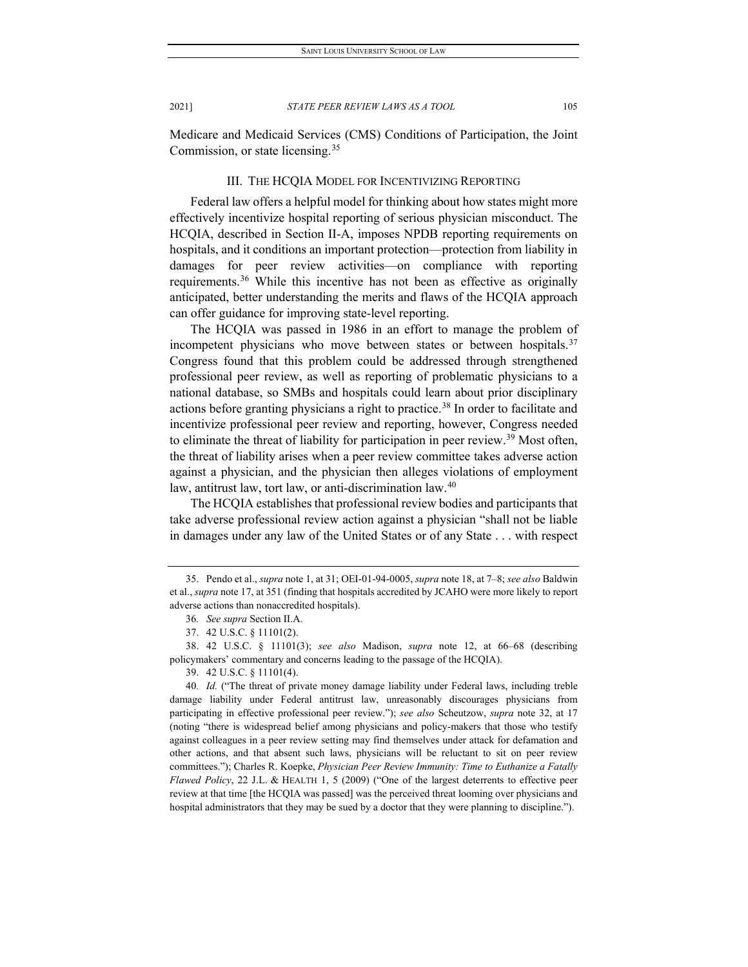Medicare and Medicaid Services (CMS) Conditions of Participation, the Joint Commission, or state licensing.[35](#page-9-0)

#### III. THE HCQIA MODEL FOR INCENTIVIZING REPORTING

Federal law offers a helpful model for thinking about how states might more effectively incentivize hospital reporting of serious physician misconduct. The HCQIA, described in Section II-A, imposes NPDB reporting requirements on hospitals, and it conditions an important protection—protection from liability in damages for peer review activities—on compliance with reporting requirements.<sup>[36](#page-9-1)</sup> While this incentive has not been as effective as originally anticipated, better understanding the merits and flaws of the HCQIA approach can offer guidance for improving state-level reporting.

The HCQIA was passed in 1986 in an effort to manage the problem of incompetent physicians who move between states or between hospitals.<sup>[37](#page-9-2)</sup> Congress found that this problem could be addressed through strengthened professional peer review, as well as reporting of problematic physicians to a national database, so SMBs and hospitals could learn about prior disciplinary actions before granting physicians a right to practice.<sup>[38](#page-9-3)</sup> In order to facilitate and incentivize professional peer review and reporting, however, Congress needed to eliminate the threat of liability for participation in peer review.<sup>[39](#page-9-4)</sup> Most often, the threat of liability arises when a peer review committee takes adverse action against a physician, and the physician then alleges violations of employment law, antitrust law, tort law, or anti-discrimination law.<sup>[40](#page-9-5)</sup>

The HCQIA establishes that professional review bodies and participants that take adverse professional review action against a physician "shall not be liable in damages under any law of the United States or of any State . . . with respect

39. 42 U.S.C. § 11101(4).

<span id="page-9-5"></span><span id="page-9-4"></span>40*. Id.* ("The threat of private money damage liability under Federal laws, including treble damage liability under Federal antitrust law, unreasonably discourages physicians from participating in effective professional peer review."); *see also* Scheutzow, *supra* note [32,](#page-8-5) at 17 (noting "there is widespread belief among physicians and policy-makers that those who testify against colleagues in a peer review setting may find themselves under attack for defamation and other actions, and that absent such laws, physicians will be reluctant to sit on peer review committees."); Charles R. Koepke, *Physician Peer Review Immunity: Time to Euthanize a Fatally Flawed Policy*, 22 J.L. & HEALTH 1, 5 (2009) ("One of the largest deterrents to effective peer review at that time [the HCQIA was passed] was the perceived threat looming over physicians and hospital administrators that they may be sued by a doctor that they were planning to discipline.").

<span id="page-9-0"></span><sup>35.</sup> Pendo et al., *supra* note 1, at 31; OEI-01-94-0005, *supra* note 18, at 7–8; *see also* Baldwin et al., *supra* not[e 17,](#page-5-6) at 351 (finding that hospitals accredited by JCAHO were more likely to report adverse actions than nonaccredited hospitals).

<sup>36</sup>*. See supra* Section II.A.

<sup>37.</sup> 42 U.S.C. § 11101(2).

<span id="page-9-3"></span><span id="page-9-2"></span><span id="page-9-1"></span><sup>38.</sup> 42 U.S.C. § 11101(3); *see also* Madison, *supra* note [12,](#page-4-6) at 66–68 (describing policymakers' commentary and concerns leading to the passage of the HCQIA).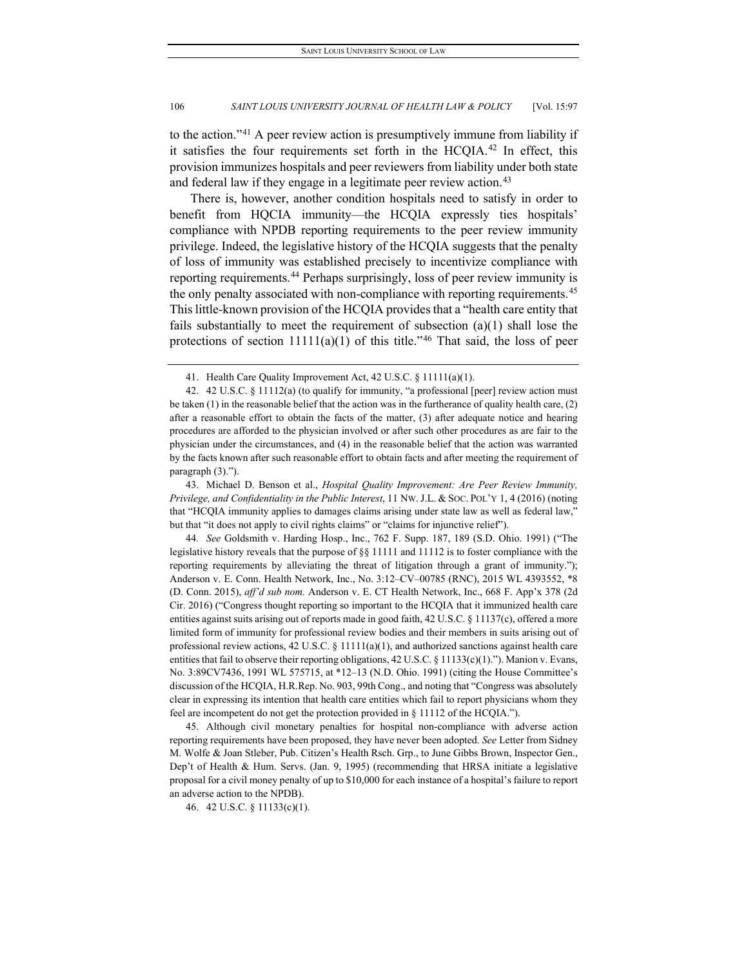to the action."[41](#page-10-0) A peer review action is presumptively immune from liability if it satisfies the four requirements set forth in the HCQIA.<sup>[42](#page-10-1)</sup> In effect, this provision immunizes hospitals and peer reviewers from liability under both state and federal law if they engage in a legitimate peer review action.<sup>[43](#page-10-2)</sup>

There is, however, another condition hospitals need to satisfy in order to benefit from HQCIA immunity—the HCQIA expressly ties hospitals' compliance with NPDB reporting requirements to the peer review immunity privilege. Indeed, the legislative history of the HCQIA suggests that the penalty of loss of immunity was established precisely to incentivize compliance with reporting requirements.[44](#page-10-3) Perhaps surprisingly, loss of peer review immunity is the only penalty associated with non-compliance with reporting requirements.<sup>[45](#page-10-4)</sup> This little-known provision of the HCQIA provides that a "health care entity that fails substantially to meet the requirement of subsection  $(a)(1)$  shall lose the protections of section  $11111(a)(1)$  of this title."<sup>[46](#page-10-5)</sup> That said, the loss of peer

<span id="page-10-2"></span>43. Michael D. Benson et al., *Hospital Quality Improvement: Are Peer Review Immunity, Privilege, and Confidentiality in the Public Interest*, 11 NW.J.L. & SOC. POL'Y 1, 4 (2016) (noting that "HCQIA immunity applies to damages claims arising under state law as well as federal law," but that "it does not apply to civil rights claims" or "claims for injunctive relief").

<span id="page-10-3"></span>44*. See* Goldsmith v. Harding Hosp., Inc., 762 F. Supp. 187, 189 (S.D. Ohio. 1991) ("The legislative history reveals that the purpose of §§ 11111 and 11112 is to foster compliance with the reporting requirements by alleviating the threat of litigation through a grant of immunity."); Anderson v. E. Conn. Health Network, Inc., No. 3:12–CV–00785 (RNC), 2015 WL 4393552, \*8 (D. Conn. 2015), *aff'd sub nom.* Anderson v. E. CT Health Network, Inc., 668 F. App'x 378 (2d Cir. 2016) ("Congress thought reporting so important to the HCQIA that it immunized health care entities against suits arising out of reports made in good faith, 42 U.S.C. § 11137(c), offered a more limited form of immunity for professional review bodies and their members in suits arising out of professional review actions, 42 U.S.C. § 11111(a)(1), and authorized sanctions against health care entities that fail to observe their reporting obligations, 42 U.S.C. § 11133(c)(1)."). Manion v. Evans, No. 3:89CV7436, 1991 WL 575715, at \*12–13 (N.D. Ohio. 1991) (citing the House Committee's discussion of the HCQIA, H.R.Rep. No. 903, 99th Cong., and noting that "Congress was absolutely clear in expressing its intention that health care entities which fail to report physicians whom they feel are incompetent do not get the protection provided in § 11112 of the HCQIA.").

<span id="page-10-4"></span>45. Although civil monetary penalties for hospital non-compliance with adverse action reporting requirements have been proposed, they have never been adopted. *See* Letter from Sidney M. Wolfe & Joan Stleber, Pub. Citizen's Health Rsch. Grp., to June Gibbs Brown, Inspector Gen., Dep't of Health & Hum. Servs. (Jan. 9, 1995) (recommending that HRSA initiate a legislative proposal for a civil money penalty of up to \$10,000 for each instance of a hospital's failure to report an adverse action to the NPDB).

<sup>41.</sup> Health Care Quality Improvement Act, 42 U.S.C. § 11111(a)(1).

<span id="page-10-1"></span><span id="page-10-0"></span><sup>42.</sup> 42 U.S.C. § 11112(a) (to qualify for immunity, "a professional [peer] review action must be taken (1) in the reasonable belief that the action was in the furtherance of quality health care, (2) after a reasonable effort to obtain the facts of the matter, (3) after adequate notice and hearing procedures are afforded to the physician involved or after such other procedures as are fair to the physician under the circumstances, and (4) in the reasonable belief that the action was warranted by the facts known after such reasonable effort to obtain facts and after meeting the requirement of paragraph (3).").

<span id="page-10-5"></span><sup>46.</sup> 42 U.S.C. § 11133(c)(1).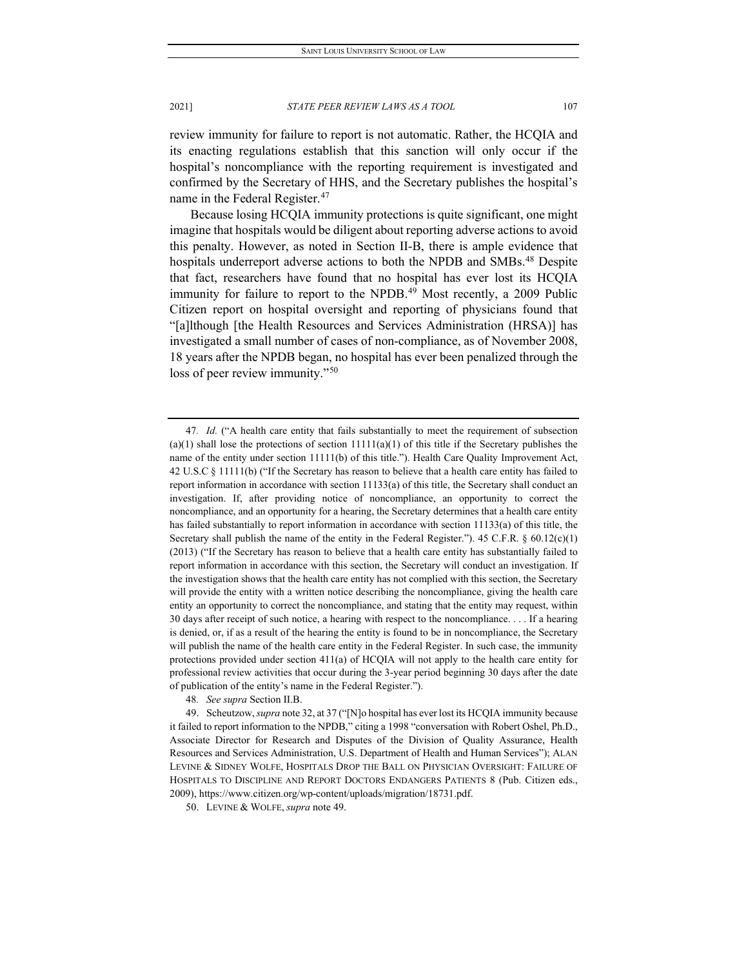review immunity for failure to report is not automatic. Rather, the HCQIA and its enacting regulations establish that this sanction will only occur if the hospital's noncompliance with the reporting requirement is investigated and confirmed by the Secretary of HHS, and the Secretary publishes the hospital's name in the Federal Register.<sup>[47](#page-11-0)</sup>

Because losing HCQIA immunity protections is quite significant, one might imagine that hospitals would be diligent about reporting adverse actions to avoid this penalty. However, as noted in Section II-B, there is ample evidence that hospitals underreport adverse actions to both the NPDB and SMBs.<sup>48</sup> Despite that fact, researchers have found that no hospital has ever lost its HCQIA immunity for failure to report to the NPDB.<sup>49</sup> Most recently, a 2009 Public Citizen report on hospital oversight and reporting of physicians found that "[a]lthough [the Health Resources and Services Administration (HRSA)] has investigated a small number of cases of non-compliance, as of November 2008, 18 years after the NPDB began, no hospital has ever been penalized through the loss of peer review immunity."<sup>[50](#page-11-3)</sup>

48*. See supra* Section II.B.

<span id="page-11-0"></span><sup>47</sup>*. Id.* ("A health care entity that fails substantially to meet the requirement of subsection (a)(1) shall lose the protections of section  $11111(a)(1)$  of this title if the Secretary publishes the name of the entity under section 11111(b) of this title."). Health Care Quality Improvement Act, 42 U.S.C § 11111(b) ("If the [Secretary](https://www.law.cornell.edu/definitions/uscode.php?width=840&height=800&iframe=true&def_id=42-USC-1264422296-127457400&term_occur=999&term_src=title:42:chapter:117:subchapter:I:section:11111) has reason to believe that [a health care entity](https://www.law.cornell.edu/definitions/uscode.php?width=840&height=800&iframe=true&def_id=42-USC-1190694898-688625133&term_occur=999&term_src=title:42:chapter:117:subchapter:I:section:11111) has failed to report information in accordance with section 11133(a) of this title, the [Secretary s](https://www.law.cornell.edu/definitions/uscode.php?width=840&height=800&iframe=true&def_id=42-USC-1264422296-127457400&term_occur=999&term_src=title:42:chapter:117:subchapter:I:section:11111)hall conduct an investigation. If, after providing notice of noncompliance, an opportunity to correct the noncompliance, and an opportunity for a hearing, the [Secretary d](https://www.law.cornell.edu/definitions/uscode.php?width=840&height=800&iframe=true&def_id=42-USC-1264422296-127457400&term_occur=999&term_src=title:42:chapter:117:subchapter:I:section:11111)etermines that a [health care entity](https://www.law.cornell.edu/definitions/uscode.php?width=840&height=800&iframe=true&def_id=42-USC-1190694898-688625133&term_occur=999&term_src=title:42:chapter:117:subchapter:I:section:11111)  has failed substantially to report information in accordance with [section 11133\(a\) of this title,](https://www.law.cornell.edu/uscode/text/42/11133#a) th[e](https://www.law.cornell.edu/definitions/uscode.php?width=840&height=800&iframe=true&def_id=42-USC-1264422296-127457400&term_occur=999&term_src=title:42:chapter:117:subchapter:I:section:11111) [Secretary s](https://www.law.cornell.edu/definitions/uscode.php?width=840&height=800&iframe=true&def_id=42-USC-1264422296-127457400&term_occur=999&term_src=title:42:chapter:117:subchapter:I:section:11111)hall publish the name of the entity in the Federal Register."). 45 C.F.R.  $\S$  60.12(c)(1) (2013) ("If the Secretary has reason to believe that a health care entity has substantially failed to report information in accordance with this section, the Secretary will conduct an investigation. If the investigation shows that the health care entity has not complied with this section, the Secretary will provide the entity with a written notice describing the noncompliance, giving the health care entity an opportunity to correct the noncompliance, and stating that the entity may request, within 30 days after receipt of such notice, a hearing with respect to the noncompliance. . . . If a hearing is denied, or, if as a result of the hearing the entity is found to be in noncompliance, the Secretary will publish the name of the health care entity in the Federal Register. In such case, the immunity protections provided under section 411(a) of HCQIA will not apply to the health care entity for professional review activities that occur during the 3-year period beginning 30 days after the date of publication of the entity's name in the Federal Register.").

<span id="page-11-2"></span><span id="page-11-1"></span><sup>49.</sup> Scheutzow, *supra* not[e 32,](#page-8-5) at 37 ("[N]o hospital has ever lost its HCQIA immunity because it failed to report information to the NPDB," citing a 1998 "conversation with Robert Oshel, Ph.D., Associate Director for Research and Disputes of the Division of Quality Assurance, Health Resources and Services Administration, U.S. Department of Health and Human Services"); ALAN LEVINE & SIDNEY WOLFE, HOSPITALS DROP THE BALL ON PHYSICIAN OVERSIGHT: FAILURE OF HOSPITALS TO DISCIPLINE AND REPORT DOCTORS ENDANGERS PATIENTS 8 (Pub. Citizen eds., 2009), https://www.citizen.org/wp-content/uploads/migration/18731.pdf.

<span id="page-11-3"></span><sup>50.</sup> LEVINE & WOLFE, *supra* note 49.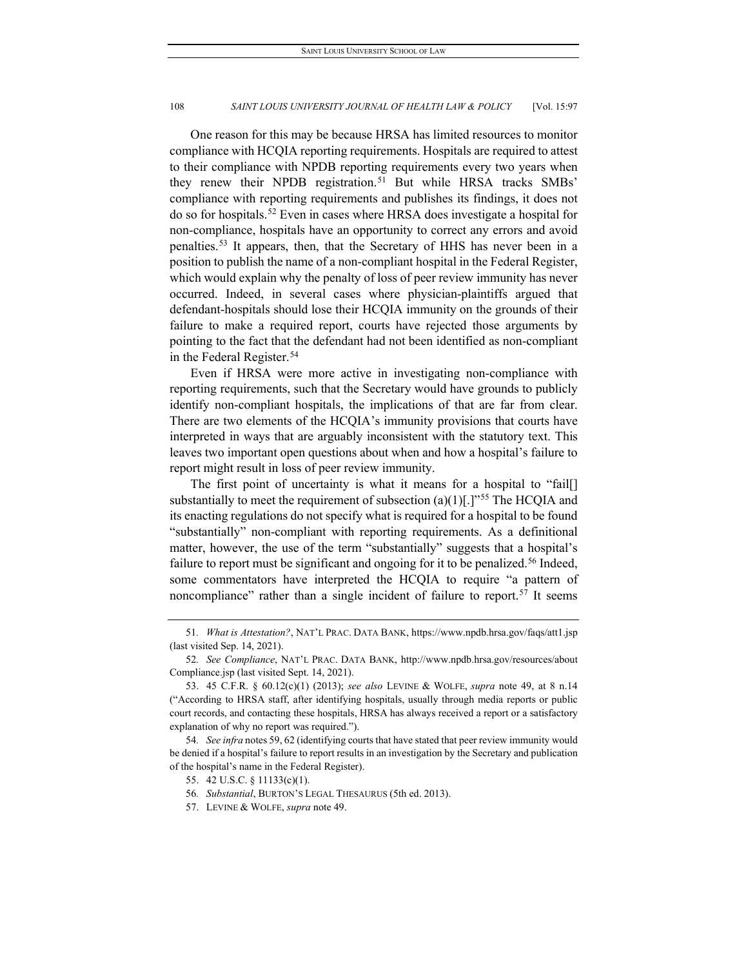One reason for this may be because HRSA has limited resources to monitor compliance with HCQIA reporting requirements. Hospitals are required to attest to their compliance with NPDB reporting requirements every two years when they renew their NPDB registration.<sup>[51](#page-12-0)</sup> But while HRSA tracks SMBs' compliance with reporting requirements and publishes its findings, it does not do so for hospitals.[52](#page-12-1) Even in cases where HRSA does investigate a hospital for non-compliance, hospitals have an opportunity to correct any errors and avoid penalties.[53](#page-12-2) It appears, then, that the Secretary of HHS has never been in a position to publish the name of a non-compliant hospital in the Federal Register, which would explain why the penalty of loss of peer review immunity has never occurred. Indeed, in several cases where physician-plaintiffs argued that defendant-hospitals should lose their HCQIA immunity on the grounds of their failure to make a required report, courts have rejected those arguments by pointing to the fact that the defendant had not been identified as non-compliant in the Federal Register.<sup>54</sup>

Even if HRSA were more active in investigating non-compliance with reporting requirements, such that the Secretary would have grounds to publicly identify non-compliant hospitals, the implications of that are far from clear. There are two elements of the HCQIA's immunity provisions that courts have interpreted in ways that are arguably inconsistent with the statutory text. This leaves two important open questions about when and how a hospital's failure to report might result in loss of peer review immunity.

The first point of uncertainty is what it means for a hospital to "fail[] substantially to meet the requirement of subsection  $(a)(1)[.]$ <sup>"[55](#page-12-4)</sup> The HCQIA and its enacting regulations do not specify what is required for a hospital to be found "substantially" non-compliant with reporting requirements. As a definitional matter, however, the use of the term "substantially" suggests that a hospital's failure to report must be significant and ongoing for it to be penalized.<sup>[56](#page-12-5)</sup> Indeed, some commentators have interpreted the HCQIA to require "a pattern of noncompliance" rather than a single incident of failure to report.<sup>[57](#page-12-6)</sup> It seems

<span id="page-12-0"></span><sup>51</sup>*. What is Attestation?*, NAT'L PRAC. DATA BANK, https://www.npdb.hrsa.gov/faqs/att1.jsp (last visited Sep. 14, 2021).

<span id="page-12-1"></span><sup>52</sup>*. See Compliance*, NAT'L PRAC. DATA BANK, http://www.npdb.hrsa.gov/resources/about Compliance.jsp (last visited Sept. 14, 2021).

<span id="page-12-2"></span><sup>53.</sup> 45 C.F.R. § 60.12(c)(1) (2013); *see also* LEVINE & WOLFE, *supra* note 49, at 8 n.14 ("According to HRSA staff, after identifying hospitals, usually through media reports or public court records, and contacting these hospitals, HRSA has always received a report or a satisfactory explanation of why no report was required.").

<span id="page-12-6"></span><span id="page-12-5"></span><span id="page-12-4"></span><span id="page-12-3"></span><sup>54</sup>*. See infra* notes 59, 62 (identifying courts that have stated that peer review immunity would be denied if a hospital's failure to report results in an investigation by the Secretary and publication of the hospital's name in the Federal Register).

<sup>55.</sup> 42 U.S.C. § 11133(c)(1).

<sup>56</sup>*. Substantial*, BURTON'S LEGAL THESAURUS (5th ed. 2013).

<sup>57.</sup> LEVINE & WOLFE, *supra* note 49.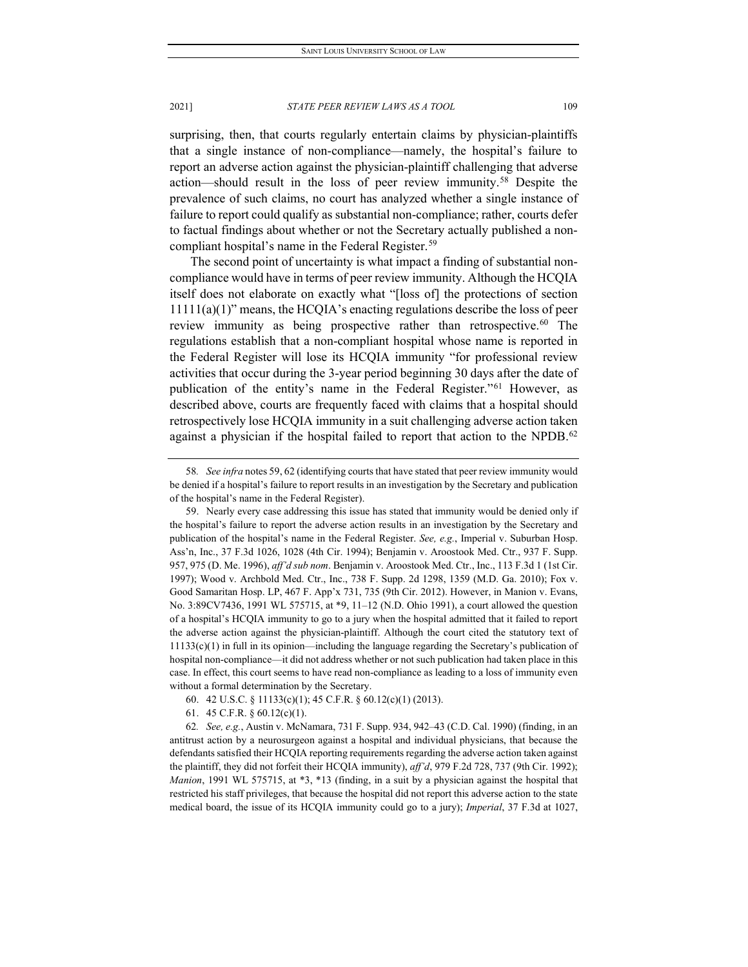surprising, then, that courts regularly entertain claims by physician-plaintiffs that a single instance of non-compliance—namely, the hospital's failure to report an adverse action against the physician-plaintiff challenging that adverse action—should result in the loss of peer review immunity.[58](#page-13-0) Despite the prevalence of such claims, no court has analyzed whether a single instance of failure to report could qualify as substantial non-compliance; rather, courts defer to factual findings about whether or not the Secretary actually published a non-compliant hospital's name in the Federal Register.<sup>[59](#page-13-1)</sup>

The second point of uncertainty is what impact a finding of substantial noncompliance would have in terms of peer review immunity. Although the HCQIA itself does not elaborate on exactly what "[loss of] the protections of section 11111(a)(1)" means, the HCQIA's enacting regulations describe the loss of peer review immunity as being prospective rather than retrospective.<sup>[60](#page-13-2)</sup> The regulations establish that a non-compliant hospital whose name is reported in the Federal Register will lose its HCQIA immunity "for professional review activities that occur during the 3-year period beginning 30 days after the date of publication of the entity's name in the Federal Register."[61](#page-13-3) However, as described above, courts are frequently faced with claims that a hospital should retrospectively lose HCQIA immunity in a suit challenging adverse action taken against a physician if the hospital failed to report that action to the NPDB.<sup>[62](#page-13-4)</sup>

<span id="page-13-0"></span><sup>58</sup>*. See infra* notes 59, 62 (identifying courts that have stated that peer review immunity would be denied if a hospital's failure to report results in an investigation by the Secretary and publication of the hospital's name in the Federal Register).

<span id="page-13-1"></span><sup>59.</sup> Nearly every case addressing this issue has stated that immunity would be denied only if the hospital's failure to report the adverse action results in an investigation by the Secretary and publication of the hospital's name in the Federal Register. *See, e.g.*, Imperial v. Suburban Hosp. Ass'n, Inc., 37 F.3d 1026, 1028 (4th Cir. 1994); Benjamin v. Aroostook Med. Ctr., 937 F. Supp. 957, 975 (D. Me. 1996), *aff'd sub nom*. Benjamin v. Aroostook Med. Ctr., Inc., 113 F.3d 1 (1st Cir. 1997); Wood v. Archbold Med. Ctr., Inc., 738 F. Supp. 2d 1298, 1359 (M.D. Ga. 2010); Fox v. Good Samaritan Hosp. LP, 467 F. App'x 731, 735 (9th Cir. 2012). However, in Manion v. Evans, No. 3:89CV7436, 1991 WL 575715, at \*9, 11–12 (N.D. Ohio 1991), a court allowed the question of a hospital's HCQIA immunity to go to a jury when the hospital admitted that it failed to report the adverse action against the physician-plaintiff. Although the court cited the statutory text of 11133(c)(1) in full in its opinion—including the language regarding the Secretary's publication of hospital non-compliance—it did not address whether or not such publication had taken place in this case. In effect, this court seems to have read non-compliance as leading to a loss of immunity even without a formal determination by the Secretary.

<sup>60.</sup> 42 U.S.C. § 11133(c)(1); 45 C.F.R. § 60.12(c)(1) (2013).

<sup>61.</sup> 45 C.F.R. § 60.12(c)(1).

<span id="page-13-4"></span><span id="page-13-3"></span><span id="page-13-2"></span><sup>62</sup>*. See, e.g.*, Austin v. McNamara, 731 F. Supp. 934, 942–43 (C.D. Cal. 1990) (finding, in an antitrust action by a neurosurgeon against a hospital and individual physicians, that because the defendants satisfied their HCQIA reporting requirements regarding the adverse action taken against the plaintiff, they did not forfeit their HCQIA immunity), *aff'd*, 979 F.2d 728, 737 (9th Cir. 1992); *Manion*, 1991 WL 575715, at \*3, \*13 (finding, in a suit by a physician against the hospital that restricted his staff privileges, that because the hospital did not report this adverse action to the state medical board, the issue of its HCQIA immunity could go to a jury); *Imperial*, 37 F.3d at 1027,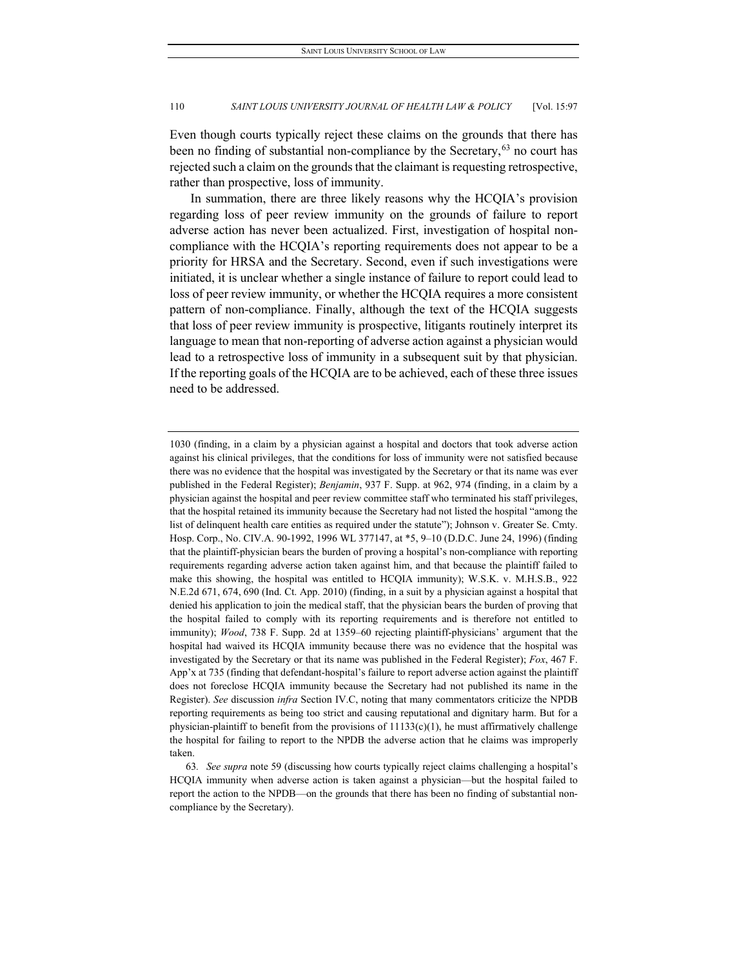Even though courts typically reject these claims on the grounds that there has been no finding of substantial non-compliance by the Secretary,  $63$  no court has rejected such a claim on the grounds that the claimant is requesting retrospective, rather than prospective, loss of immunity.

In summation, there are three likely reasons why the HCQIA's provision regarding loss of peer review immunity on the grounds of failure to report adverse action has never been actualized. First, investigation of hospital noncompliance with the HCQIA's reporting requirements does not appear to be a priority for HRSA and the Secretary. Second, even if such investigations were initiated, it is unclear whether a single instance of failure to report could lead to loss of peer review immunity, or whether the HCQIA requires a more consistent pattern of non-compliance. Finally, although the text of the HCQIA suggests that loss of peer review immunity is prospective, litigants routinely interpret its language to mean that non-reporting of adverse action against a physician would lead to a retrospective loss of immunity in a subsequent suit by that physician. If the reporting goals of the HCQIA are to be achieved, each of these three issues need to be addressed.

<sup>1030 (</sup>finding, in a claim by a physician against a hospital and doctors that took adverse action against his clinical privileges, that the conditions for loss of immunity were not satisfied because there was no evidence that the hospital was investigated by the Secretary or that its name was ever published in the Federal Register); *Benjamin*, 937 F. Supp. at 962, 974 (finding, in a claim by a physician against the hospital and peer review committee staff who terminated his staff privileges, that the hospital retained its immunity because the Secretary had not listed the hospital "among the list of delinquent health care entities as required under the statute"); Johnson v. Greater Se. Cmty. Hosp. Corp., No. CIV.A. 90-1992, 1996 WL 377147, at \*5, 9–10 (D.D.C. June 24, 1996) (finding that the plaintiff-physician bears the burden of proving a hospital's non-compliance with reporting requirements regarding adverse action taken against him, and that because the plaintiff failed to make this showing, the hospital was entitled to HCQIA immunity); W.S.K. v. M.H.S.B., 922 N.E.2d 671, 674, 690 (Ind. Ct. App. 2010) (finding, in a suit by a physician against a hospital that denied his application to join the medical staff, that the physician bears the burden of proving that the hospital failed to comply with its reporting requirements and is therefore not entitled to immunity); *Wood*, 738 F. Supp. 2d at 1359–60 rejecting plaintiff-physicians' argument that the hospital had waived its HCQIA immunity because there was no evidence that the hospital was investigated by the Secretary or that its name was published in the Federal Register); *Fox*, 467 F. App'x at 735 (finding that defendant-hospital's failure to report adverse action against the plaintiff does not foreclose HCQIA immunity because the Secretary had not published its name in the Register). *See* discussion *infra* Section IV.C, noting that many commentators criticize the NPDB reporting requirements as being too strict and causing reputational and dignitary harm. But for a physician-plaintiff to benefit from the provisions of  $11133(c)(1)$ , he must affirmatively challenge the hospital for failing to report to the NPDB the adverse action that he claims was improperly taken.

<span id="page-14-0"></span><sup>63</sup>*. See supra* note 59 (discussing how courts typically reject claims challenging a hospital's HCQIA immunity when adverse action is taken against a physician—but the hospital failed to report the action to the NPDB—on the grounds that there has been no finding of substantial noncompliance by the Secretary).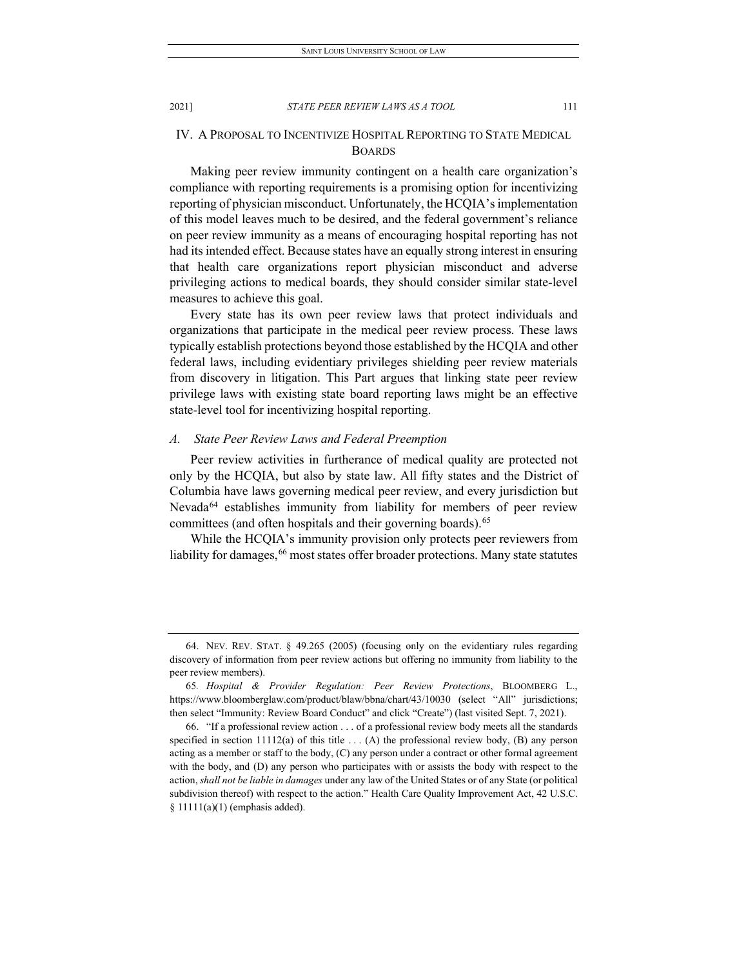## IV. A PROPOSAL TO INCENTIVIZE HOSPITAL REPORTING TO STATE MEDICAL BOARDS

Making peer review immunity contingent on a health care organization's compliance with reporting requirements is a promising option for incentivizing reporting of physician misconduct. Unfortunately, the HCQIA's implementation of this model leaves much to be desired, and the federal government's reliance on peer review immunity as a means of encouraging hospital reporting has not had its intended effect. Because states have an equally strong interest in ensuring that health care organizations report physician misconduct and adverse privileging actions to medical boards, they should consider similar state-level measures to achieve this goal.

Every state has its own peer review laws that protect individuals and organizations that participate in the medical peer review process. These laws typically establish protections beyond those established by the HCQIA and other federal laws, including evidentiary privileges shielding peer review materials from discovery in litigation. This Part argues that linking state peer review privilege laws with existing state board reporting laws might be an effective state-level tool for incentivizing hospital reporting.

#### *A. State Peer Review Laws and Federal Preemption*

Peer review activities in furtherance of medical quality are protected not only by the HCQIA, but also by state law. All fifty states and the District of Columbia have laws governing medical peer review, and every jurisdiction but Nevada<sup>64</sup> establishes immunity from liability for members of peer review committees (and often hospitals and their governing boards).<sup>[65](#page-15-1)</sup>

While the HCQIA's immunity provision only protects peer reviewers from liability for damages, <sup>[66](#page-15-2)</sup> most states offer broader protections. Many state statutes

<span id="page-15-0"></span><sup>64.</sup> NEV. REV. STAT. § 49.265 (2005) (focusing only on the evidentiary rules regarding discovery of information from peer review actions but offering no immunity from liability to the peer review members).

<span id="page-15-1"></span><sup>65</sup>*. Hospital & Provider Regulation: Peer Review Protections*, BLOOMBERG L., https://www.bloomberglaw.com/product/blaw/bbna/chart/43/10030 (select "All" jurisdictions; then select "Immunity: Review Board Conduct" and click "Create") (last visited Sept. 7, 2021).

<span id="page-15-2"></span><sup>66.</sup> "If a professional review action . . . of a professional review body meets all the standards specified in section  $11112(a)$  of this title ... (A) the professional review body, (B) any person acting as a member or staff to the body, (C) any person under a contract or other formal agreement with the body, and (D) any person who participates with or assists the body with respect to the action, *shall not be liable in damages* under any law of the United States or of any State (or political subdivision thereof) with respect to the action." Health Care Quality Improvement Act, 42 U.S.C. § 11111(a)(1) (emphasis added).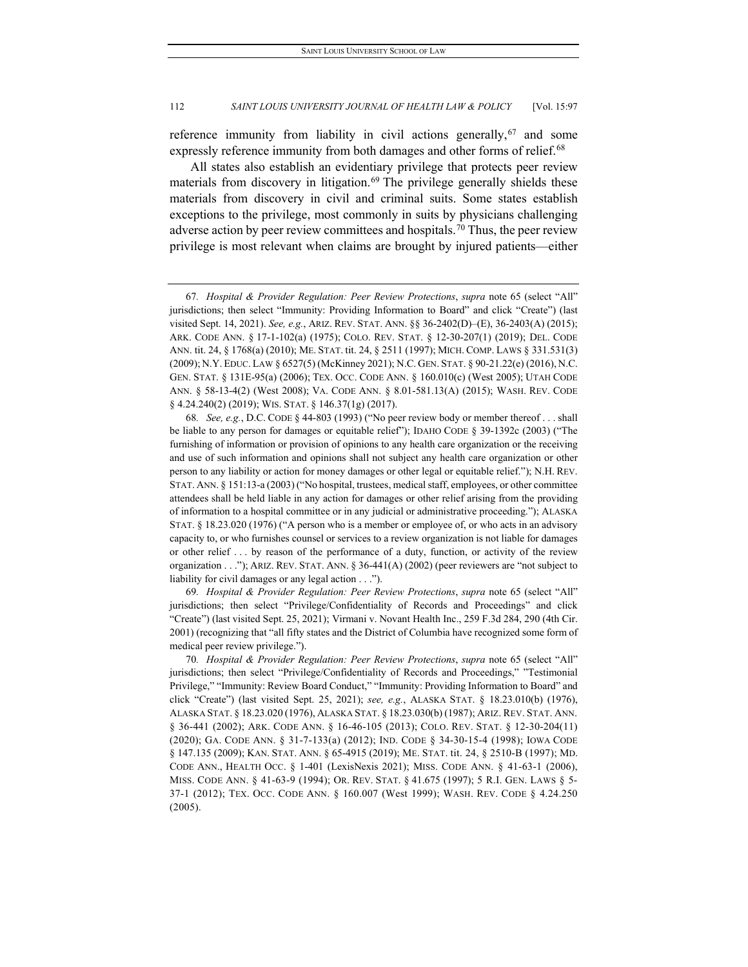reference immunity from liability in civil actions generally,  $67$  and some expressly reference immunity from both damages and other forms of relief.<sup>[68](#page-16-1)</sup>

All states also establish an evidentiary privilege that protects peer review materials from discovery in litigation.<sup>[69](#page-16-2)</sup> The privilege generally shields these materials from discovery in civil and criminal suits. Some states establish exceptions to the privilege, most commonly in suits by physicians challenging adverse action by peer review committees and hospitals.<sup>[70](#page-16-3)</sup> Thus, the peer review privilege is most relevant when claims are brought by injured patients—either

<span id="page-16-1"></span>68*. See, e.g.*, D.C. CODE § 44-803 (1993) ("No peer review body or member thereof . . . shall be liable to any person for damages or equitable relief"); IDAHO CODE § 39-1392c (2003) ("The furnishing of information or provision of opinions to any health care organization or the receiving and use of such information and opinions shall not subject any health care organization or other person to any liability or action for money damages or other legal or equitable relief."); N.H. REV. STAT. ANN. § 151:13-a (2003) ("No hospital, trustees, medical staff, employees, or other committee attendees shall be held liable in any action for damages or other relief arising from the providing of information to a hospital committee or in any judicial or administrative proceeding."); ALASKA STAT. § 18.23.020 (1976) ("A person who is a member or employee of, or who acts in an advisory capacity to, or who furnishes counsel or services to a review organization is not liable for damages or other relief . . . by reason of the performance of a duty, function, or activity of the review organization . . ."); ARIZ. REV. STAT. ANN. § 36-441(A) (2002) (peer reviewers are "not subject to liability for civil damages or any legal action . . .").

<span id="page-16-2"></span>69*. Hospital & Provider Regulation: Peer Review Protections*, *supra* note 65 (select "All" jurisdictions; then select "Privilege/Confidentiality of Records and Proceedings" and click "Create") (last visited Sept. 25, 2021); Virmani v. Novant Health Inc., 259 F.3d 284, 290 (4th Cir. 2001) (recognizing that "all fifty states and the District of Columbia have recognized some form of medical peer review privilege.").

<span id="page-16-3"></span>70*. Hospital & Provider Regulation: Peer Review Protections*, *supra* note 65 (select "All" jurisdictions; then select "Privilege/Confidentiality of Records and Proceedings," "Testimonial Privilege," "Immunity: Review Board Conduct," "Immunity: Providing Information to Board" and click "Create") (last visited Sept. 25, 2021); *see, e.g.*, ALASKA STAT. § 18.23.010(b) (1976), ALASKA STAT. § 18.23.020 (1976), ALASKA STAT. § 18.23.030(b) (1987); ARIZ. REV. STAT. ANN. § 36-441 (2002); ARK. CODE ANN. § 16-46-105 (2013); COLO. REV. STAT. § 12-30-204(11) (2020); GA. CODE ANN. § 31-7-133(a) (2012); IND. CODE § 34-30-15-4 (1998); IOWA CODE § 147.135 (2009); KAN. STAT. ANN. § 65-4915 (2019); ME. STAT. tit. 24, § 2510-B (1997); MD. CODE ANN., HEALTH OCC. § 1-401 (LexisNexis 2021); MISS. CODE ANN. § 41-63-1 (2006), MISS. CODE ANN. § 41-63-9 (1994); OR. REV. STAT. § 41.675 (1997); 5 R.I. GEN. LAWS § 5- 37-1 (2012); TEX. OCC. CODE ANN. § 160.007 (West 1999); WASH. REV. CODE § 4.24.250 (2005).

<span id="page-16-0"></span><sup>67</sup>*. Hospital & Provider Regulation: Peer Review Protections*, *supra* note 65 (select "All" jurisdictions; then select "Immunity: Providing Information to Board" and click "Create") (last visited Sept. 14, 2021). *See, e.g.*, ARIZ. REV. STAT. ANN. §§ 36-2402(D)–(E), 36-2403(A) (2015); ARK. CODE ANN. § 17-1-102(a) (1975); COLO. REV. STAT. § 12-30-207(1) (2019); DEL. CODE ANN. tit. 24, § 1768(a) (2010); ME. STAT. tit. 24, § 2511 (1997); MICH. COMP. LAWS § 331.531(3) (2009); N.Y. EDUC. LAW § 6527(5) (McKinney 2021); N.C. GEN. STAT. § 90-21.22(e) (2016), N.C. GEN. STAT. § 131E-95(a) (2006); TEX. OCC. CODE ANN. § 160.010(c) (West 2005); UTAH CODE ANN. § 58-13-4(2) (West 2008); VA. CODE ANN. § 8.01-581.13(A) (2015); WASH. REV. CODE § 4.24.240(2) (2019); WIS. STAT. § 146.37(1g) (2017).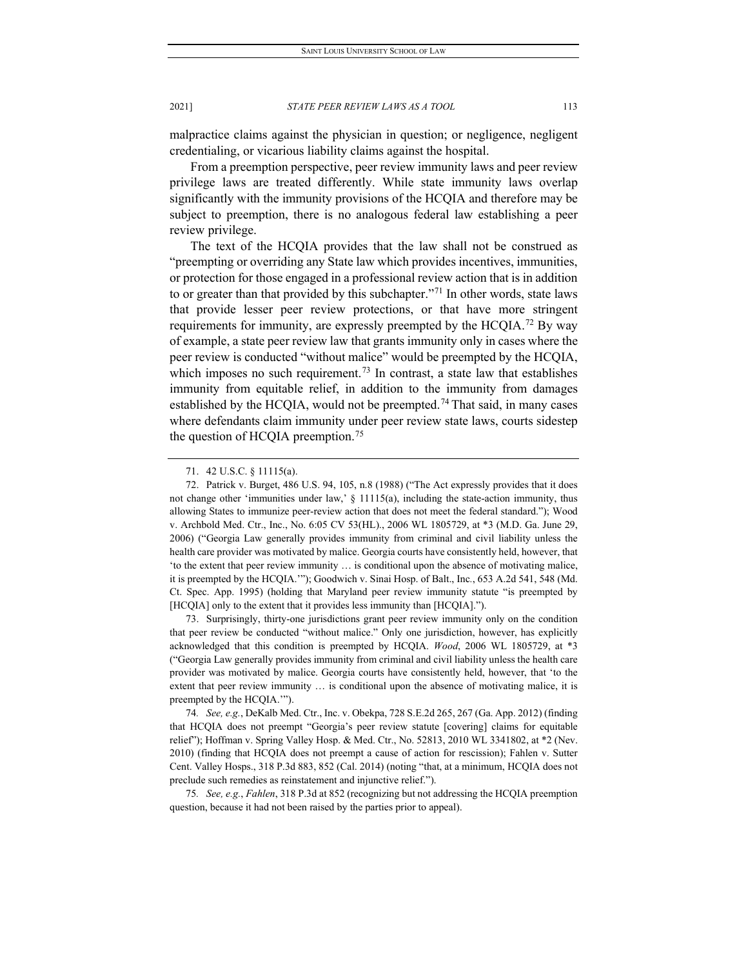malpractice claims against the physician in question; or negligence, negligent credentialing, or vicarious liability claims against the hospital.

From a preemption perspective, peer review immunity laws and peer review privilege laws are treated differently. While state immunity laws overlap significantly with the immunity provisions of the HCQIA and therefore may be subject to preemption, there is no analogous federal law establishing a peer review privilege.

The text of the HCQIA provides that the law shall not be construed as "preempting or overriding any State law which provides incentives, immunities, or protection for those engaged in a professional review action that is in addition to or greater than that provided by this subchapter."<sup>[71](#page-17-0)</sup> In other words, state laws that provide lesser peer review protections, or that have more stringent requirements for immunity, are expressly preempted by the HCQIA.[72](#page-17-1) By way of example, a state peer review law that grants immunity only in cases where the peer review is conducted "without malice" would be preempted by the HCQIA, which imposes no such requirement.<sup>[73](#page-17-2)</sup> In contrast, a state law that establishes immunity from equitable relief, in addition to the immunity from damages established by the HCQIA, would not be preempted.<sup>[74](#page-17-3)</sup> That said, in many cases where defendants claim immunity under peer review state laws, courts sidestep the question of HCQIA preemption.<sup>[75](#page-17-4)</sup>

<span id="page-17-2"></span>73. Surprisingly, thirty-one jurisdictions grant peer review immunity only on the condition that peer review be conducted "without malice." Only one jurisdiction, however, has explicitly acknowledged that this condition is preempted by HCQIA. *Wood*, 2006 WL 1805729, at \*3 ("Georgia Law generally provides immunity from criminal and civil liability unless the health care provider was motivated by malice. Georgia courts have consistently held, however, that 'to the extent that peer review immunity … is conditional upon the absence of motivating malice, it is preempted by the HCQIA.'").

<span id="page-17-3"></span>74*. See, e.g.*, DeKalb Med. Ctr., Inc. v. Obekpa, 728 S.E.2d 265, 267 (Ga. App. 2012) (finding that HCQIA does not preempt "Georgia's peer review statute [covering] claims for equitable relief"); Hoffman v. Spring Valley Hosp. & Med. Ctr., No. 52813, 2010 WL 3341802, at \*2 (Nev. 2010) (finding that HCQIA does not preempt a cause of action for rescission); Fahlen v. Sutter Cent. Valley Hosps., 318 P.3d 883, 852 (Cal. 2014) (noting "that, at a minimum, HCQIA does not preclude such remedies as reinstatement and injunctive relief.").

<span id="page-17-4"></span>75*. See, e.g.*, *Fahlen*, 318 P.3d at 852 (recognizing but not addressing the HCQIA preemption question, because it had not been raised by the parties prior to appeal).

<sup>71.</sup> 42 U.S.C. § 11115(a).

<span id="page-17-1"></span><span id="page-17-0"></span><sup>72.</sup> Patrick v. Burget, 486 U.S. 94, 105, n.8 (1988) ("The Act expressly provides that it does not change other 'immunities under law,' § 11115(a), including the state-action immunity, thus allowing States to immunize peer-review action that does not meet the federal standard."); Wood v. Archbold Med. Ctr., Inc., No. 6:05 CV 53(HL)., 2006 WL 1805729, at \*3 (M.D. Ga. June 29, 2006) ("Georgia Law generally provides immunity from criminal and civil liability unless the health care provider was motivated by malice. Georgia courts have consistently held, however, that 'to the extent that peer review immunity … is conditional upon the absence of motivating malice, it is preempted by the HCQIA.'"); Goodwich v. Sinai Hosp. of Balt., Inc*.*, 653 A.2d 541, 548 (Md. Ct. Spec. App. 1995) (holding that Maryland peer review immunity statute "is preempted by [HCQIA] only to the extent that it provides less immunity than [HCQIA].").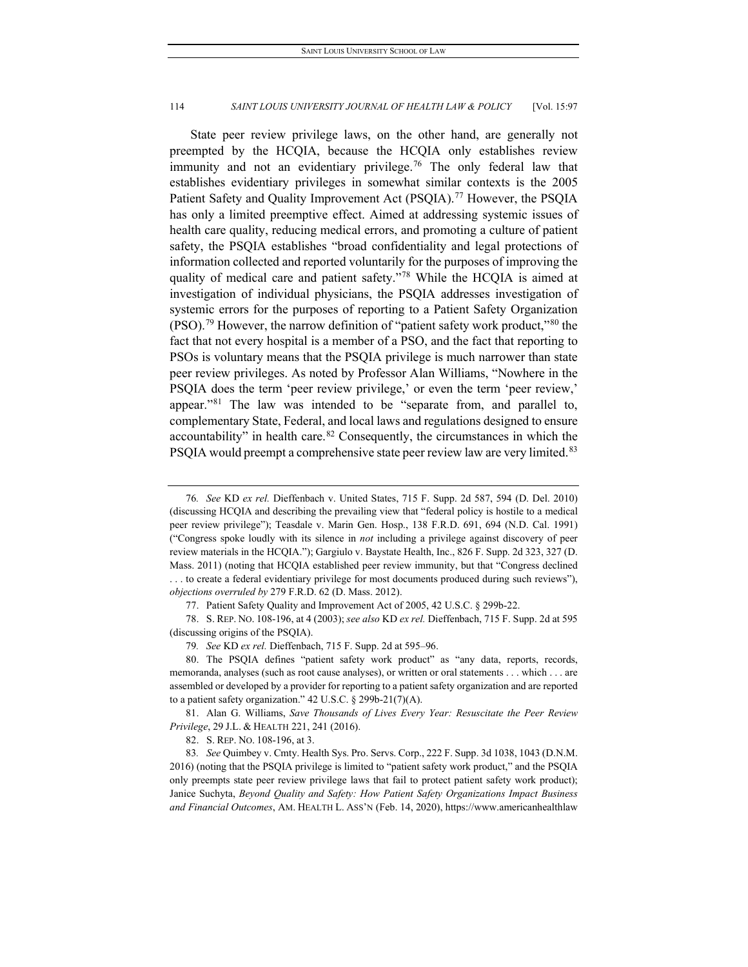State peer review privilege laws, on the other hand, are generally not preempted by the HCQIA, because the HCQIA only establishes review immunity and not an evidentiary privilege.<sup>[76](#page-18-0)</sup> The only federal law that establishes evidentiary privileges in somewhat similar contexts is the 2005 Patient Safety and Quality Improvement Act (PSQIA).<sup>77</sup> However, the PSQIA has only a limited preemptive effect. Aimed at addressing systemic issues of health care quality, reducing medical errors, and promoting a culture of patient safety, the PSQIA establishes "broad confidentiality and legal protections of information collected and reported voluntarily for the purposes of improving the quality of medical care and patient safety."[78](#page-18-2) While the HCQIA is aimed at investigation of individual physicians, the PSQIA addresses investigation of systemic errors for the purposes of reporting to a Patient Safety Organization (PSO)[.79](#page-18-3) However, the narrow definition of "patient safety work product,"[80](#page-18-4) the fact that not every hospital is a member of a PSO, and the fact that reporting to PSOs is voluntary means that the PSQIA privilege is much narrower than state peer review privileges. As noted by Professor Alan Williams, "Nowhere in the PSQIA does the term 'peer review privilege,' or even the term 'peer review,' appear."[81](#page-18-5) The law was intended to be "separate from, and parallel to, complementary State, Federal, and local laws and regulations designed to ensure accountability" in health care. $82$  Consequently, the circumstances in which the PSQIA would preempt a comprehensive state peer review law are very limited.<sup>[83](#page-18-7)</sup>

<span id="page-18-2"></span><span id="page-18-1"></span>78. S. REP. NO. 108-196, at 4 (2003); *see also* KD *ex rel.* Dieffenbach, 715 F. Supp. 2d at 595 (discussing origins of the PSQIA).

<span id="page-18-5"></span>81. Alan G. Williams, *Save Thousands of Lives Every Year: Resuscitate the Peer Review Privilege*, 29 J.L. & HEALTH 221, 241 (2016).

82. S. REP. NO. 108-196, at 3.

<span id="page-18-0"></span><sup>76</sup>*. See* KD *ex rel.* Dieffenbach v. United States, 715 F. Supp. 2d 587, 594 (D. Del. 2010) (discussing HCQIA and describing the prevailing view that "federal policy is hostile to a medical peer review privilege"); Teasdale v. Marin Gen. Hosp., 138 F.R.D. 691, 694 (N.D. Cal. 1991) ("Congress spoke loudly with its silence in *not* including a privilege against discovery of peer review materials in the HCQIA."); Gargiulo v. Baystate Health, Inc., 826 F. Supp. 2d 323, 327 (D. Mass. 2011) (noting that HCQIA established peer review immunity, but that "Congress declined . . . to create a federal evidentiary privilege for most documents produced during such reviews"), *objections overruled by* 279 F.R.D. 62 (D. Mass. 2012).

<sup>77.</sup> Patient Safety Quality and Improvement Act of 2005, 42 U.S.C. § 299b-22.

<sup>79</sup>*. See* KD *ex rel.* Dieffenbach, 715 F. Supp. 2d at 595–96.

<span id="page-18-4"></span><span id="page-18-3"></span><sup>80.</sup> The PSQIA defines "patient safety work product" as "any data, reports, records, memoranda, analyses (such as root cause analyses), or written or oral statements . . . which . . . are assembled or developed by a provider for reporting to a patient safety organization and are reported to a patient safety organization."  $42$  U.S.C. § 299b-21(7)(A).

<span id="page-18-7"></span><span id="page-18-6"></span><sup>83</sup>*. See* Quimbey v. Cmty. Health Sys. Pro. Servs. Corp., 222 F. Supp. 3d 1038, 1043 (D.N.M. 2016) (noting that the PSQIA privilege is limited to "patient safety work product," and the PSQIA only preempts state peer review privilege laws that fail to protect patient safety work product); Janice Suchyta, *Beyond Quality and Safety: How Patient Safety Organizations Impact Business and Financial Outcomes*, AM. HEALTH L. ASS'N (Feb. 14, 2020), https://www.americanhealthlaw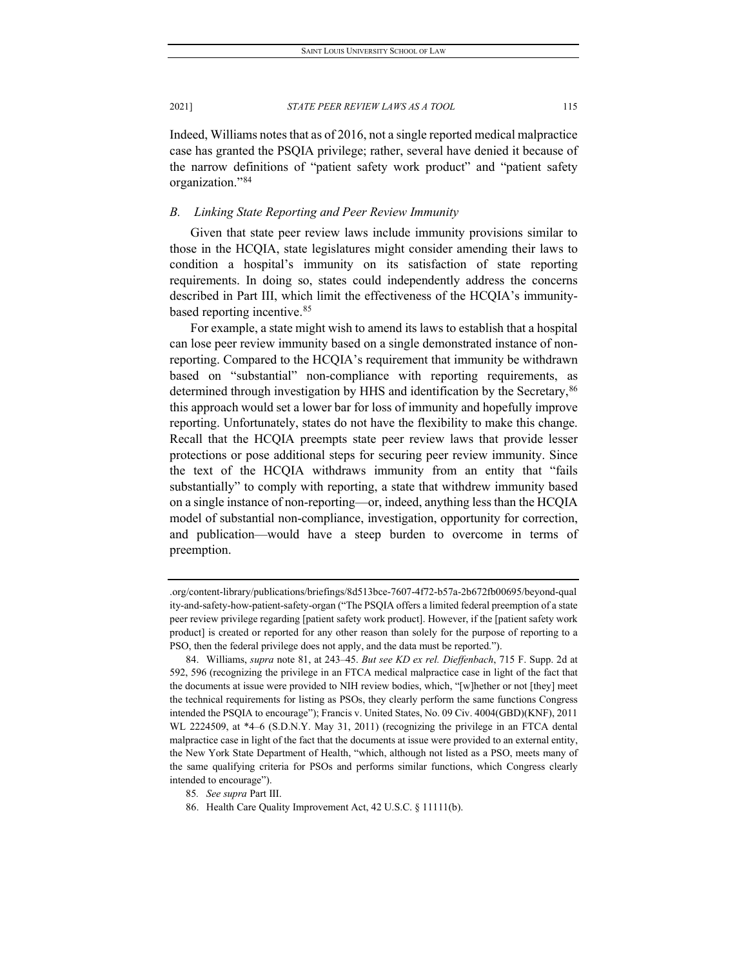Indeed, Williams notes that as of 2016, not a single reported medical malpractice case has granted the PSQIA privilege; rather, several have denied it because of the narrow definitions of "patient safety work product" and "patient safety organization."[84](#page-19-0)

## *B. Linking State Reporting and Peer Review Immunity*

Given that state peer review laws include immunity provisions similar to those in the HCQIA, state legislatures might consider amending their laws to condition a hospital's immunity on its satisfaction of state reporting requirements. In doing so, states could independently address the concerns described in Part III, which limit the effectiveness of the HCQIA's immunity-based reporting incentive.<sup>[85](#page-19-1)</sup>

For example, a state might wish to amend its laws to establish that a hospital can lose peer review immunity based on a single demonstrated instance of nonreporting. Compared to the HCQIA's requirement that immunity be withdrawn based on "substantial" non-compliance with reporting requirements, as determined through investigation by HHS and identification by the Secretary, <sup>[86](#page-19-2)</sup> this approach would set a lower bar for loss of immunity and hopefully improve reporting. Unfortunately, states do not have the flexibility to make this change. Recall that the HCQIA preempts state peer review laws that provide lesser protections or pose additional steps for securing peer review immunity. Since the text of the HCQIA withdraws immunity from an entity that "fails substantially" to comply with reporting, a state that withdrew immunity based on a single instance of non-reporting—or, indeed, anything less than the HCQIA model of substantial non-compliance, investigation, opportunity for correction, and publication—would have a steep burden to overcome in terms of preemption.

<sup>.</sup>org/content-library/publications/briefings/8d513bce-7607-4f72-b57a-2b672fb00695/beyond-qual ity-and-safety-how-patient-safety-organ ("The PSQIA offers a limited federal preemption of a state peer review privilege regarding [patient safety work product]. However, if the [patient safety work product] is created or reported for any other reason than solely for the purpose of reporting to a PSO, then the federal privilege does not apply, and the data must be reported.").

<span id="page-19-0"></span><sup>84.</sup> Williams, *supra* note 81, at 243–45. *But see KD ex rel. Dieffenbach*, 715 F. Supp. 2d at 592, 596 (recognizing the privilege in an FTCA medical malpractice case in light of the fact that the documents at issue were provided to NIH review bodies, which, "[w]hether or not [they] meet the technical requirements for listing as PSOs, they clearly perform the same functions Congress intended the PSQIA to encourage"); Francis v. United States, No. 09 Civ. 4004(GBD)(KNF), 2011 WL 2224509, at \*4–6 (S.D.N.Y. May 31, 2011) (recognizing the privilege in an FTCA dental malpractice case in light of the fact that the documents at issue were provided to an external entity, the New York State Department of Health, "which, although not listed as a PSO, meets many of the same qualifying criteria for PSOs and performs similar functions, which Congress clearly intended to encourage").

<span id="page-19-1"></span><sup>85</sup>*. See supra* Part III.

<span id="page-19-2"></span><sup>86.</sup> Health Care Quality Improvement Act, 42 U.S.C. § 11111(b).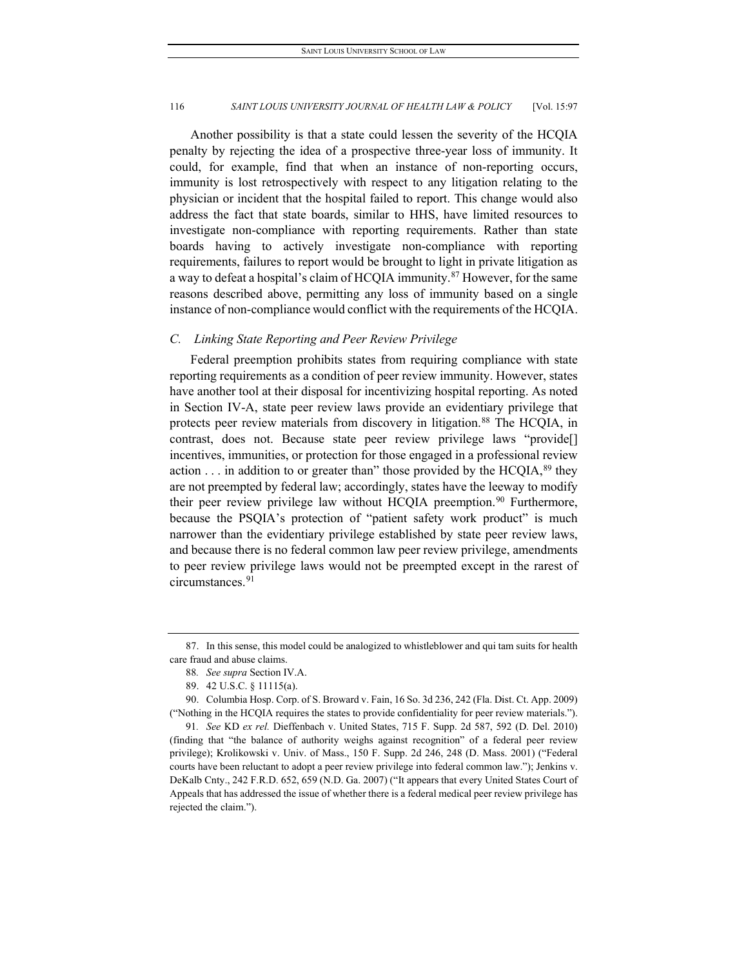Another possibility is that a state could lessen the severity of the HCQIA penalty by rejecting the idea of a prospective three-year loss of immunity. It could, for example, find that when an instance of non-reporting occurs, immunity is lost retrospectively with respect to any litigation relating to the physician or incident that the hospital failed to report. This change would also address the fact that state boards, similar to HHS, have limited resources to investigate non-compliance with reporting requirements. Rather than state boards having to actively investigate non-compliance with reporting requirements, failures to report would be brought to light in private litigation as a way to defeat a hospital's claim of HCQIA immunity.<sup>87</sup> However, for the same reasons described above, permitting any loss of immunity based on a single instance of non-compliance would conflict with the requirements of the HCQIA.

#### *C. Linking State Reporting and Peer Review Privilege*

Federal preemption prohibits states from requiring compliance with state reporting requirements as a condition of peer review immunity. However, states have another tool at their disposal for incentivizing hospital reporting. As noted in Section IV-A, state peer review laws provide an evidentiary privilege that protects peer review materials from discovery in litigation.<sup>[88](#page-20-1)</sup> The HCQIA, in contrast, does not. Because state peer review privilege laws "provide[] incentives, immunities, or protection for those engaged in a professional review action  $\dots$  in addition to or greater than" those provided by the HCQIA,  $89$  they are not preempted by federal law; accordingly, states have the leeway to modify their peer review privilege law without HCQIA preemption.<sup>[90](#page-20-3)</sup> Furthermore, because the PSQIA's protection of "patient safety work product" is much narrower than the evidentiary privilege established by state peer review laws, and because there is no federal common law peer review privilege, amendments to peer review privilege laws would not be preempted except in the rarest of circumstances.<sup>[91](#page-20-4)</sup>

<span id="page-20-1"></span><span id="page-20-0"></span><sup>87.</sup> In this sense, this model could be analogized to whistleblower and qui tam suits for health care fraud and abuse claims.

<sup>88</sup>*. See supra* Section IV.A.

<sup>89.</sup> 42 U.S.C. § 11115(a).

<span id="page-20-3"></span><span id="page-20-2"></span><sup>90.</sup> Columbia Hosp. Corp. of S. Broward v. Fain, 16 So. 3d 236, 242 (Fla. Dist. Ct. App. 2009) ("Nothing in the HCQIA requires the states to provide confidentiality for peer review materials.").

<span id="page-20-4"></span><sup>91</sup>*. See* KD *ex rel.* Dieffenbach v. United States, 715 F. Supp. 2d 587, 592 (D. Del. 2010) (finding that "the balance of authority weighs against recognition" of a federal peer review privilege); Krolikowski v. Univ. of Mass., 150 F. Supp. 2d 246, 248 (D. Mass. 2001) ("Federal courts have been reluctant to adopt a peer review privilege into federal common law."); Jenkins v. DeKalb Cnty., 242 F.R.D. 652, 659 (N.D. Ga. 2007) ("It appears that every United States Court of Appeals that has addressed the issue of whether there is a federal medical peer review privilege has rejected the claim.").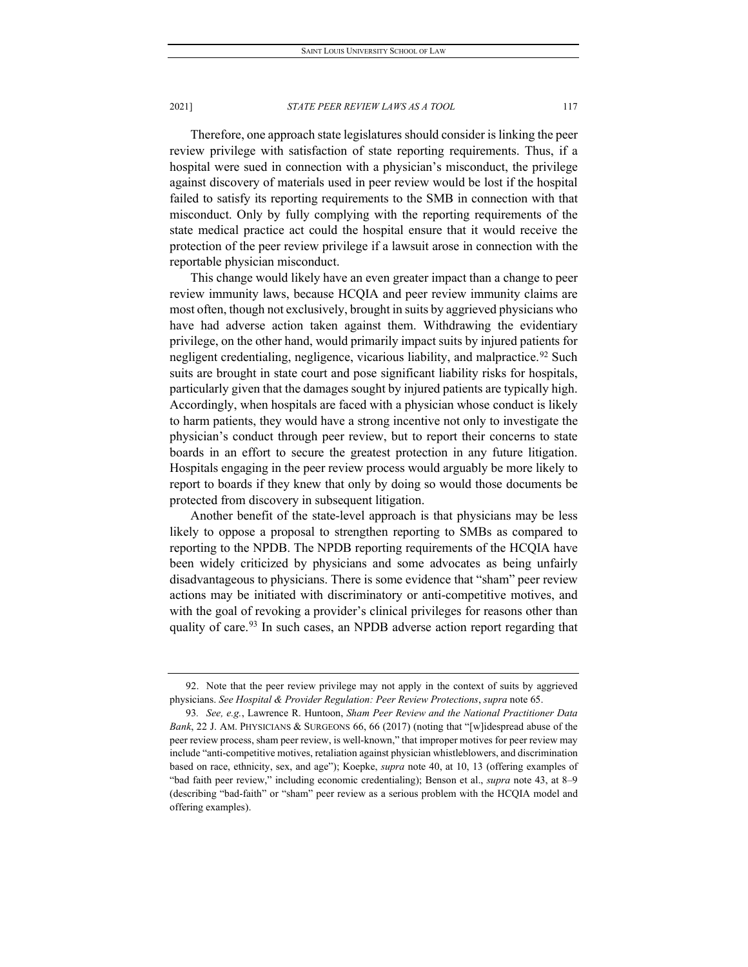Therefore, one approach state legislatures should consider is linking the peer review privilege with satisfaction of state reporting requirements. Thus, if a hospital were sued in connection with a physician's misconduct, the privilege against discovery of materials used in peer review would be lost if the hospital failed to satisfy its reporting requirements to the SMB in connection with that misconduct. Only by fully complying with the reporting requirements of the state medical practice act could the hospital ensure that it would receive the protection of the peer review privilege if a lawsuit arose in connection with the reportable physician misconduct.

This change would likely have an even greater impact than a change to peer review immunity laws, because HCQIA and peer review immunity claims are most often, though not exclusively, brought in suits by aggrieved physicians who have had adverse action taken against them. Withdrawing the evidentiary privilege, on the other hand, would primarily impact suits by injured patients for negligent credentialing, negligence, vicarious liability, and malpractice.<sup>[92](#page-21-0)</sup> Such suits are brought in state court and pose significant liability risks for hospitals, particularly given that the damages sought by injured patients are typically high. Accordingly, when hospitals are faced with a physician whose conduct is likely to harm patients, they would have a strong incentive not only to investigate the physician's conduct through peer review, but to report their concerns to state boards in an effort to secure the greatest protection in any future litigation. Hospitals engaging in the peer review process would arguably be more likely to report to boards if they knew that only by doing so would those documents be protected from discovery in subsequent litigation.

Another benefit of the state-level approach is that physicians may be less likely to oppose a proposal to strengthen reporting to SMBs as compared to reporting to the NPDB. The NPDB reporting requirements of the HCQIA have been widely criticized by physicians and some advocates as being unfairly disadvantageous to physicians. There is some evidence that "sham" peer review actions may be initiated with discriminatory or anti-competitive motives, and with the goal of revoking a provider's clinical privileges for reasons other than quality of care.<sup>[93](#page-21-1)</sup> In such cases, an NPDB adverse action report regarding that

<span id="page-21-0"></span><sup>92.</sup> Note that the peer review privilege may not apply in the context of suits by aggrieved physicians. *See Hospital & Provider Regulation: Peer Review Protections*, *supra* note 65.

<span id="page-21-1"></span><sup>93</sup>*. See, e.g.*, Lawrence R. Huntoon, *Sham Peer Review and the National Practitioner Data Bank*, 22 J. AM. PHYSICIANS & SURGEONS 66, 66 (2017) (noting that "[w]idespread abuse of the peer review process, sham peer review, is well-known," that improper motives for peer review may include "anti-competitive motives, retaliation against physician whistleblowers, and discrimination based on race, ethnicity, sex, and age"); Koepke, *supra* note 40, at 10, 13 (offering examples of "bad faith peer review," including economic credentialing); Benson et al., *supra* note 43, at 8–9 (describing "bad-faith" or "sham" peer review as a serious problem with the HCQIA model and offering examples).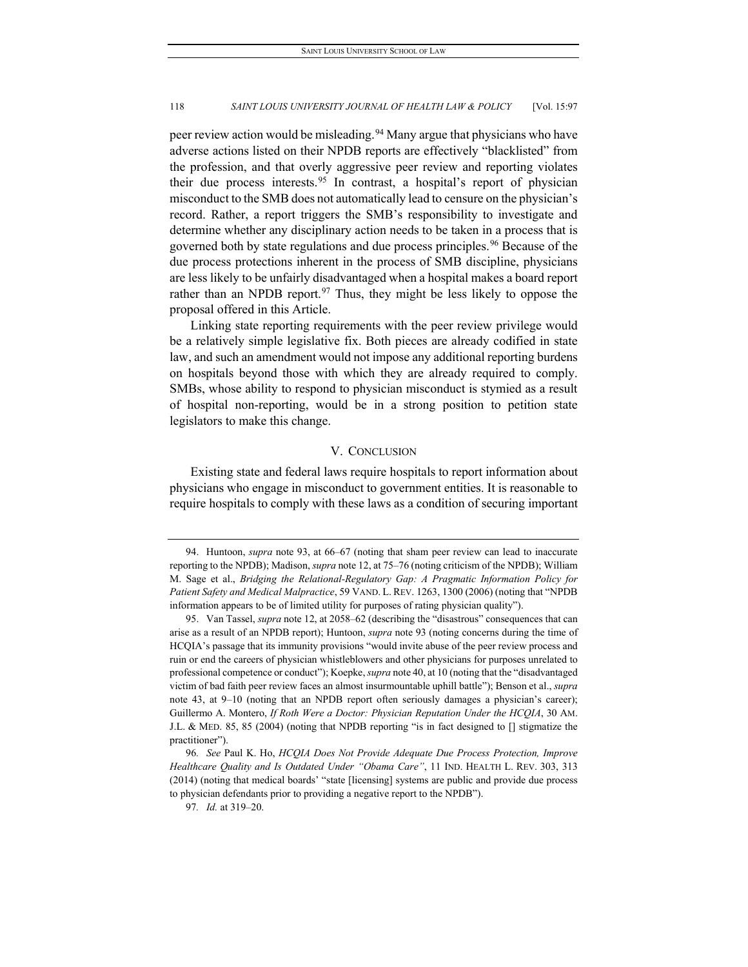peer review action would be misleading.<sup>[94](#page-22-0)</sup> Many argue that physicians who have adverse actions listed on their NPDB reports are effectively "blacklisted" from the profession, and that overly aggressive peer review and reporting violates their due process interests.[95](#page-22-1) In contrast, a hospital's report of physician misconduct to the SMB does not automatically lead to censure on the physician's record. Rather, a report triggers the SMB's responsibility to investigate and determine whether any disciplinary action needs to be taken in a process that is governed both by state regulations and due process principles.<sup>[96](#page-22-2)</sup> Because of the due process protections inherent in the process of SMB discipline, physicians are less likely to be unfairly disadvantaged when a hospital makes a board report rather than an NPDB report.<sup>[97](#page-22-3)</sup> Thus, they might be less likely to oppose the proposal offered in this Article.

Linking state reporting requirements with the peer review privilege would be a relatively simple legislative fix. Both pieces are already codified in state law, and such an amendment would not impose any additional reporting burdens on hospitals beyond those with which they are already required to comply. SMBs, whose ability to respond to physician misconduct is stymied as a result of hospital non-reporting, would be in a strong position to petition state legislators to make this change.

#### V. CONCLUSION

Existing state and federal laws require hospitals to report information about physicians who engage in misconduct to government entities. It is reasonable to require hospitals to comply with these laws as a condition of securing important

<span id="page-22-0"></span><sup>94.</sup> Huntoon, *supra* note 93, at 66–67 (noting that sham peer review can lead to inaccurate reporting to the NPDB); Madison, *supra* not[e 12,](#page-4-6) at 75–76 (noting criticism of the NPDB); William M. Sage et al., *Bridging the Relational-Regulatory Gap: A Pragmatic Information Policy for Patient Safety and Medical Malpractice*, 59 VAND. L. REV. 1263, 1300 (2006) (noting that "NPDB information appears to be of limited utility for purposes of rating physician quality").

<span id="page-22-1"></span><sup>95.</sup> Van Tassel, *supra* note 12, at 2058–62 (describing the "disastrous" consequences that can arise as a result of an NPDB report); Huntoon, *supra* note 93 (noting concerns during the time of HCQIA's passage that its immunity provisions "would invite abuse of the peer review process and ruin or end the careers of physician whistleblowers and other physicians for purposes unrelated to professional competence or conduct"); Koepke,*supra* note 40, at 10 (noting that the "disadvantaged victim of bad faith peer review faces an almost insurmountable uphill battle"); Benson et al., *supra*  note 43, at 9–10 (noting that an NPDB report often seriously damages a physician's career); Guillermo A. Montero, *If Roth Were a Doctor: Physician Reputation Under the HCQIA*, 30 AM. J.L. & MED. 85, 85 (2004) (noting that NPDB reporting "is in fact designed to [] stigmatize the practitioner").

<span id="page-22-3"></span><span id="page-22-2"></span><sup>96</sup>*. See* Paul K. Ho, *HCQIA Does Not Provide Adequate Due Process Protection, Improve Healthcare Quality and Is Outdated Under "Obama Care"*, 11 IND. HEALTH L. REV. 303, 313 (2014) (noting that medical boards' "state [licensing] systems are public and provide due process to physician defendants prior to providing a negative report to the NPDB").

<sup>97</sup>*. Id.* at 319–20.